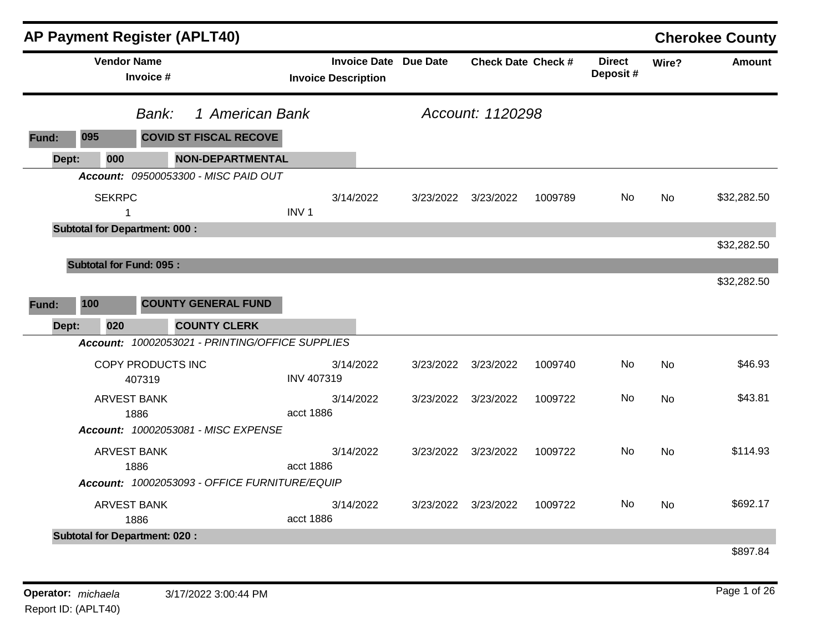|       |                                      |                             | <b>AP Payment Register (APLT40)</b>                                    |                   |                                                            |           |                           |         |                            |           | <b>Cherokee County</b> |
|-------|--------------------------------------|-----------------------------|------------------------------------------------------------------------|-------------------|------------------------------------------------------------|-----------|---------------------------|---------|----------------------------|-----------|------------------------|
|       | <b>Vendor Name</b>                   | Invoice #                   |                                                                        |                   | <b>Invoice Date Due Date</b><br><b>Invoice Description</b> |           | <b>Check Date Check #</b> |         | <b>Direct</b><br>Deposit # | Wire?     | <b>Amount</b>          |
|       |                                      | Bank:                       | 1 American Bank                                                        |                   |                                                            |           | Account: 1120298          |         |                            |           |                        |
| Fund: | 095                                  |                             | <b>COVID ST FISCAL RECOVE</b>                                          |                   |                                                            |           |                           |         |                            |           |                        |
| Dept: | 000                                  |                             | <b>NON-DEPARTMENTAL</b>                                                |                   |                                                            |           |                           |         |                            |           |                        |
|       |                                      |                             | Account: 09500053300 - MISC PAID OUT                                   |                   |                                                            |           |                           |         |                            |           |                        |
|       | <b>SEKRPC</b><br>$\mathbf 1$         |                             |                                                                        | INV <sub>1</sub>  | 3/14/2022                                                  |           | 3/23/2022 3/23/2022       | 1009789 | No.                        | <b>No</b> | \$32,282.50            |
|       | <b>Subtotal for Department: 000:</b> |                             |                                                                        |                   |                                                            |           |                           |         |                            |           |                        |
|       |                                      |                             |                                                                        |                   |                                                            |           |                           |         |                            |           | \$32,282.50            |
|       | <b>Subtotal for Fund: 095:</b>       |                             |                                                                        |                   |                                                            |           |                           |         |                            |           |                        |
| Fund: | 100                                  |                             | <b>COUNTY GENERAL FUND</b>                                             |                   |                                                            |           |                           |         |                            |           | \$32,282.50            |
| Dept: | 020                                  |                             | <b>COUNTY CLERK</b><br>Account: 10002053021 - PRINTING/OFFICE SUPPLIES |                   |                                                            |           |                           |         |                            |           |                        |
|       |                                      |                             |                                                                        |                   |                                                            |           |                           |         |                            |           |                        |
|       |                                      | COPY PRODUCTS INC<br>407319 |                                                                        | <b>INV 407319</b> | 3/14/2022                                                  | 3/23/2022 | 3/23/2022                 | 1009740 | No.                        | <b>No</b> | \$46.93                |
|       | <b>ARVEST BANK</b>                   | 1886                        |                                                                        | acct 1886         | 3/14/2022                                                  |           | 3/23/2022 3/23/2022       | 1009722 | No.                        | No        | \$43.81                |
|       |                                      |                             | Account: 10002053081 - MISC EXPENSE                                    |                   |                                                            |           |                           |         |                            |           |                        |
|       | <b>ARVEST BANK</b>                   | 1886                        |                                                                        | acct 1886         | 3/14/2022                                                  |           | 3/23/2022 3/23/2022       | 1009722 | No.                        | <b>No</b> | \$114.93               |
|       |                                      |                             | Account: 10002053093 - OFFICE FURNITURE/EQUIP                          |                   |                                                            |           |                           |         |                            |           |                        |
|       | <b>ARVEST BANK</b>                   | 1886                        |                                                                        | acct 1886         | 3/14/2022                                                  |           | 3/23/2022 3/23/2022       | 1009722 | No.                        | No.       | \$692.17               |
|       | <b>Subtotal for Department: 020:</b> |                             |                                                                        |                   |                                                            |           |                           |         |                            |           | \$897.84               |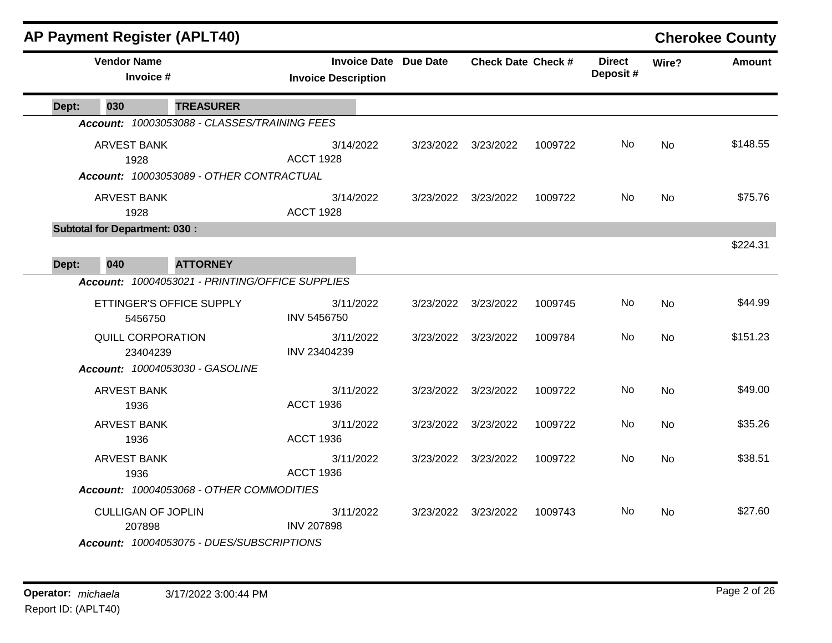|       | <b>AP Payment Register (APLT40)</b>  |                                                 |                                                   |           |                           | <b>Cherokee County</b> |                           |           |               |
|-------|--------------------------------------|-------------------------------------------------|---------------------------------------------------|-----------|---------------------------|------------------------|---------------------------|-----------|---------------|
|       | <b>Vendor Name</b><br>Invoice #      |                                                 | <b>Invoice Date</b><br><b>Invoice Description</b> | Due Date  | <b>Check Date Check #</b> |                        | <b>Direct</b><br>Deposit# | Wire?     | <b>Amount</b> |
| Dept: | 030                                  | <b>TREASURER</b>                                |                                                   |           |                           |                        |                           |           |               |
|       |                                      | Account: 10003053088 - CLASSES/TRAINING FEES    |                                                   |           |                           |                        |                           |           |               |
|       | <b>ARVEST BANK</b>                   |                                                 | 3/14/2022                                         | 3/23/2022 | 3/23/2022                 | 1009722                | No                        | No.       | \$148.55      |
|       | 1928                                 |                                                 | <b>ACCT 1928</b>                                  |           |                           |                        |                           |           |               |
|       |                                      | Account: 10003053089 - OTHER CONTRACTUAL        |                                                   |           |                           |                        |                           |           |               |
|       | <b>ARVEST BANK</b>                   |                                                 | 3/14/2022                                         |           | 3/23/2022 3/23/2022       | 1009722                | No.                       | <b>No</b> | \$75.76       |
|       | 1928                                 |                                                 | <b>ACCT 1928</b>                                  |           |                           |                        |                           |           |               |
|       | <b>Subtotal for Department: 030:</b> |                                                 |                                                   |           |                           |                        |                           |           |               |
|       |                                      |                                                 |                                                   |           |                           |                        |                           |           | \$224.31      |
| Dept: | 040                                  | <b>ATTORNEY</b>                                 |                                                   |           |                           |                        |                           |           |               |
|       |                                      | Account: 10004053021 - PRINTING/OFFICE SUPPLIES |                                                   |           |                           |                        |                           |           |               |
|       |                                      | ETTINGER'S OFFICE SUPPLY                        | 3/11/2022                                         | 3/23/2022 | 3/23/2022                 | 1009745                | No                        | No        | \$44.99       |
|       | 5456750                              |                                                 | <b>INV 5456750</b>                                |           |                           |                        |                           |           |               |
|       | <b>QUILL CORPORATION</b>             |                                                 | 3/11/2022                                         | 3/23/2022 | 3/23/2022                 | 1009784                | No                        | No        | \$151.23      |
|       | 23404239                             |                                                 | INV 23404239                                      |           |                           |                        |                           |           |               |
|       |                                      | Account: 10004053030 - GASOLINE                 |                                                   |           |                           |                        |                           |           |               |
|       | <b>ARVEST BANK</b>                   |                                                 | 3/11/2022                                         | 3/23/2022 | 3/23/2022                 | 1009722                | No                        | <b>No</b> | \$49.00       |
|       | 1936                                 |                                                 | <b>ACCT 1936</b>                                  |           |                           |                        |                           |           |               |
|       | <b>ARVEST BANK</b>                   |                                                 | 3/11/2022                                         | 3/23/2022 | 3/23/2022                 | 1009722                | No.                       | No        | \$35.26       |
|       | 1936                                 |                                                 | <b>ACCT 1936</b>                                  |           |                           |                        |                           |           |               |
|       | <b>ARVEST BANK</b>                   |                                                 | 3/11/2022                                         |           | 3/23/2022 3/23/2022       | 1009722                | No.                       | No        | \$38.51       |
|       | 1936                                 |                                                 | <b>ACCT 1936</b>                                  |           |                           |                        |                           |           |               |
|       |                                      | Account: 10004053068 - OTHER COMMODITIES        |                                                   |           |                           |                        |                           |           |               |
|       | <b>CULLIGAN OF JOPLIN</b>            |                                                 | 3/11/2022                                         | 3/23/2022 | 3/23/2022                 | 1009743                | No.                       | No        | \$27.60       |
|       | 207898                               |                                                 | <b>INV 207898</b>                                 |           |                           |                        |                           |           |               |
|       |                                      | Account: 10004053075 - DUES/SUBSCRIPTIONS       |                                                   |           |                           |                        |                           |           |               |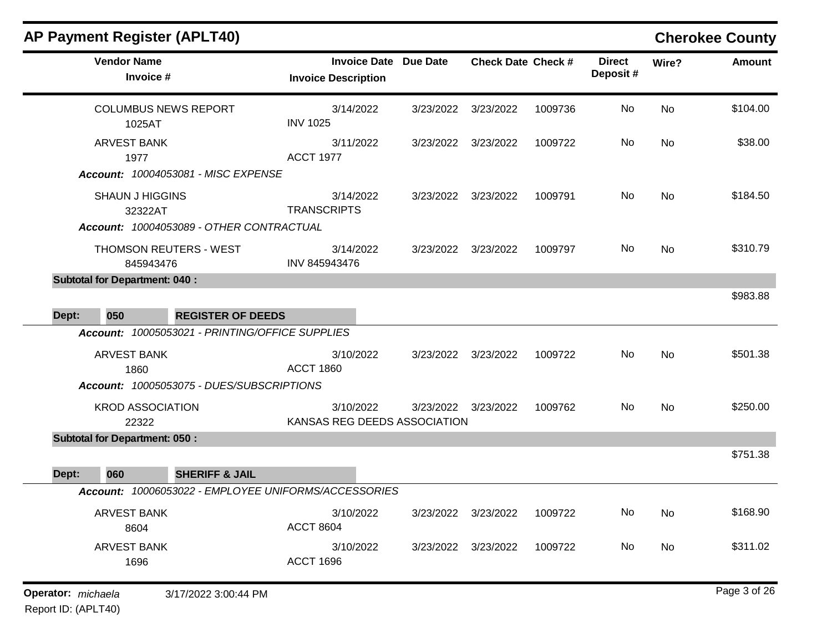| <b>AP Payment Register (APLT40)</b>                  |                                                                                        |                                                            |           |                           |         |                           |           | <b>Cherokee County</b> |
|------------------------------------------------------|----------------------------------------------------------------------------------------|------------------------------------------------------------|-----------|---------------------------|---------|---------------------------|-----------|------------------------|
| <b>Vendor Name</b><br>Invoice #                      |                                                                                        | <b>Invoice Date Due Date</b><br><b>Invoice Description</b> |           | <b>Check Date Check #</b> |         | <b>Direct</b><br>Deposit# | Wire?     | Amount                 |
| <b>COLUMBUS NEWS REPORT</b><br>1025AT                |                                                                                        | 3/14/2022<br><b>INV 1025</b>                               | 3/23/2022 | 3/23/2022                 | 1009736 | No                        | <b>No</b> | \$104.00               |
| <b>ARVEST BANK</b><br>1977                           |                                                                                        | 3/11/2022<br><b>ACCT 1977</b>                              | 3/23/2022 | 3/23/2022                 | 1009722 | No                        | <b>No</b> | \$38.00                |
| <b>SHAUN J HIGGINS</b><br>32322AT                    | <b>Account: 10004053081 - MISC EXPENSE</b><br>Account: 10004053089 - OTHER CONTRACTUAL | 3/14/2022<br><b>TRANSCRIPTS</b>                            | 3/23/2022 | 3/23/2022                 | 1009791 | No                        | <b>No</b> | \$184.50               |
| 845943476                                            | THOMSON REUTERS - WEST                                                                 | 3/14/2022<br>INV 845943476                                 | 3/23/2022 | 3/23/2022                 | 1009797 | No                        | No        | \$310.79               |
| <b>Subtotal for Department: 040:</b><br>050<br>Dept: | <b>REGISTER OF DEEDS</b>                                                               |                                                            |           |                           |         |                           |           | \$983.88               |
|                                                      | Account: 10005053021 - PRINTING/OFFICE SUPPLIES                                        |                                                            |           |                           |         |                           |           |                        |
| <b>ARVEST BANK</b><br>1860                           |                                                                                        | 3/10/2022<br><b>ACCT 1860</b>                              | 3/23/2022 | 3/23/2022                 | 1009722 | No                        | <b>No</b> | \$501.38               |
|                                                      | Account: 10005053075 - DUES/SUBSCRIPTIONS                                              |                                                            |           |                           |         |                           |           |                        |
| <b>KROD ASSOCIATION</b><br>22322                     |                                                                                        | 3/10/2022<br>KANSAS REG DEEDS ASSOCIATION                  | 3/23/2022 | 3/23/2022                 | 1009762 | No                        | <b>No</b> | \$250.00               |
| <b>Subtotal for Department: 050:</b>                 |                                                                                        |                                                            |           |                           |         |                           |           |                        |
| 060<br>Dept:                                         | <b>SHERIFF &amp; JAIL</b>                                                              |                                                            |           |                           |         |                           |           | \$751.38               |
|                                                      |                                                                                        | Account: 10006053022 - EMPLOYEE UNIFORMS/ACCESSORIES       |           |                           |         |                           |           |                        |
| ARVEST BANK<br>8604                                  |                                                                                        | 3/10/2022<br><b>ACCT 8604</b>                              | 3/23/2022 | 3/23/2022                 | 1009722 | No                        | No        | \$168.90               |
| ARVEST BANK<br>1696                                  |                                                                                        | 3/10/2022<br><b>ACCT 1696</b>                              | 3/23/2022 | 3/23/2022                 | 1009722 | No                        | No        | \$311.02               |
| Operator: michaela                                   | 3/17/2022 3:00:44 PM                                                                   |                                                            |           |                           |         |                           |           | Page 3 of 26           |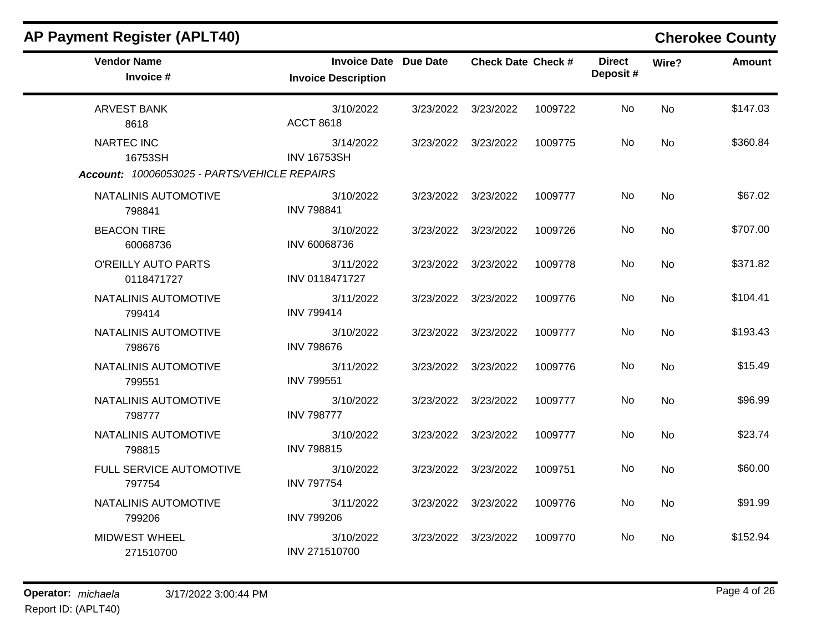| <b>AP Payment Register (APLT40)</b>          |                                                            |                           |         |                           |           | <b>Cherokee County</b> |
|----------------------------------------------|------------------------------------------------------------|---------------------------|---------|---------------------------|-----------|------------------------|
| <b>Vendor Name</b><br>Invoice #              | <b>Invoice Date Due Date</b><br><b>Invoice Description</b> | <b>Check Date Check #</b> |         | <b>Direct</b><br>Deposit# | Wire?     | Amount                 |
| <b>ARVEST BANK</b><br>8618                   | 3/10/2022<br><b>ACCT 8618</b>                              | 3/23/2022 3/23/2022       | 1009722 | No.                       | <b>No</b> | \$147.03               |
| <b>NARTEC INC</b><br>16753SH                 | 3/14/2022<br><b>INV 16753SH</b>                            | 3/23/2022 3/23/2022       | 1009775 | No.                       | No        | \$360.84               |
| Account: 10006053025 - PARTS/VEHICLE REPAIRS |                                                            |                           |         |                           |           |                        |
| NATALINIS AUTOMOTIVE<br>798841               | 3/10/2022<br><b>INV 798841</b>                             | 3/23/2022 3/23/2022       | 1009777 | No.                       | <b>No</b> | \$67.02                |
| <b>BEACON TIRE</b><br>60068736               | 3/10/2022<br>INV 60068736                                  | 3/23/2022 3/23/2022       | 1009726 | No.                       | <b>No</b> | \$707.00               |
| O'REILLY AUTO PARTS<br>0118471727            | 3/11/2022<br>INV 0118471727                                | 3/23/2022 3/23/2022       | 1009778 | No                        | <b>No</b> | \$371.82               |
| NATALINIS AUTOMOTIVE<br>799414               | 3/11/2022<br><b>INV 799414</b>                             | 3/23/2022 3/23/2022       | 1009776 | No                        | <b>No</b> | \$104.41               |
| NATALINIS AUTOMOTIVE<br>798676               | 3/10/2022<br><b>INV 798676</b>                             | 3/23/2022 3/23/2022       | 1009777 | No.                       | <b>No</b> | \$193.43               |
| NATALINIS AUTOMOTIVE<br>799551               | 3/11/2022<br><b>INV 799551</b>                             | 3/23/2022 3/23/2022       | 1009776 | No.                       | <b>No</b> | \$15.49                |
| NATALINIS AUTOMOTIVE<br>798777               | 3/10/2022<br><b>INV 798777</b>                             | 3/23/2022 3/23/2022       | 1009777 | No                        | <b>No</b> | \$96.99                |
| NATALINIS AUTOMOTIVE<br>798815               | 3/10/2022<br><b>INV 798815</b>                             | 3/23/2022 3/23/2022       | 1009777 | No                        | <b>No</b> | \$23.74                |
| FULL SERVICE AUTOMOTIVE<br>797754            | 3/10/2022<br><b>INV 797754</b>                             | 3/23/2022 3/23/2022       | 1009751 | No                        | No.       | \$60.00                |
| NATALINIS AUTOMOTIVE<br>799206               | 3/11/2022<br><b>INV 799206</b>                             | 3/23/2022 3/23/2022       | 1009776 | No                        | No        | \$91.99                |
| <b>MIDWEST WHEEL</b><br>271510700            | 3/10/2022<br>INV 271510700                                 | 3/23/2022 3/23/2022       | 1009770 | No.                       | No.       | \$152.94               |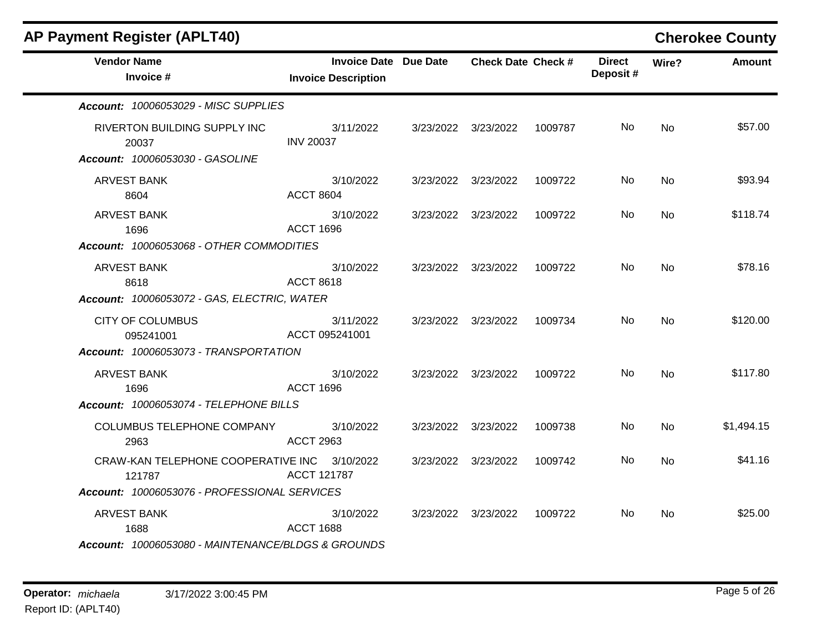| <b>AP Payment Register (APLT40)</b>                                                                    |                                                            |                           |         |                           |                | <b>Cherokee County</b> |
|--------------------------------------------------------------------------------------------------------|------------------------------------------------------------|---------------------------|---------|---------------------------|----------------|------------------------|
| <b>Vendor Name</b><br>Invoice #                                                                        | <b>Invoice Date Due Date</b><br><b>Invoice Description</b> | <b>Check Date Check #</b> |         | <b>Direct</b><br>Deposit# | Wire?          | Amount                 |
| Account: 10006053029 - MISC SUPPLIES                                                                   |                                                            |                           |         |                           |                |                        |
| RIVERTON BUILDING SUPPLY INC<br>20037<br>Account: 10006053030 - GASOLINE                               | 3/11/2022<br><b>INV 20037</b>                              | 3/23/2022 3/23/2022       | 1009787 | No.                       | No             | \$57.00                |
| <b>ARVEST BANK</b><br>8604                                                                             | 3/10/2022<br><b>ACCT 8604</b>                              | 3/23/2022 3/23/2022       | 1009722 | No.                       | No.            | \$93.94                |
| <b>ARVEST BANK</b><br>1696<br>Account: 10006053068 - OTHER COMMODITIES                                 | 3/10/2022<br><b>ACCT 1696</b>                              | 3/23/2022 3/23/2022       | 1009722 | No                        | <b>No</b>      | \$118.74               |
| ARVEST BANK<br>8618<br>Account: 10006053072 - GAS, ELECTRIC, WATER                                     | 3/10/2022<br><b>ACCT 8618</b>                              | 3/23/2022 3/23/2022       | 1009722 | No                        | No             | \$78.16                |
| <b>CITY OF COLUMBUS</b><br>095241001<br>Account: 10006053073 - TRANSPORTATION                          | 3/11/2022<br>ACCT 095241001                                | 3/23/2022 3/23/2022       | 1009734 | No.                       | N <sub>o</sub> | \$120.00               |
| <b>ARVEST BANK</b><br>1696<br>Account: 10006053074 - TELEPHONE BILLS                                   | 3/10/2022<br><b>ACCT 1696</b>                              | 3/23/2022 3/23/2022       | 1009722 | No.                       | No             | \$117.80               |
| COLUMBUS TELEPHONE COMPANY<br>2963                                                                     | 3/10/2022<br><b>ACCT 2963</b>                              | 3/23/2022 3/23/2022       | 1009738 | No.                       | <b>No</b>      | \$1,494.15             |
| CRAW-KAN TELEPHONE COOPERATIVE INC 3/10/2022<br>121787<br>Account: 10006053076 - PROFESSIONAL SERVICES | <b>ACCT 121787</b>                                         | 3/23/2022 3/23/2022       | 1009742 | No.                       | No             | \$41.16                |
| <b>ARVEST BANK</b><br>1688<br>Account: 10006053080 - MAINTENANCE/BLDGS & GROUNDS                       | 3/10/2022<br><b>ACCT 1688</b>                              | 3/23/2022 3/23/2022       | 1009722 | No.                       | No.            | \$25.00                |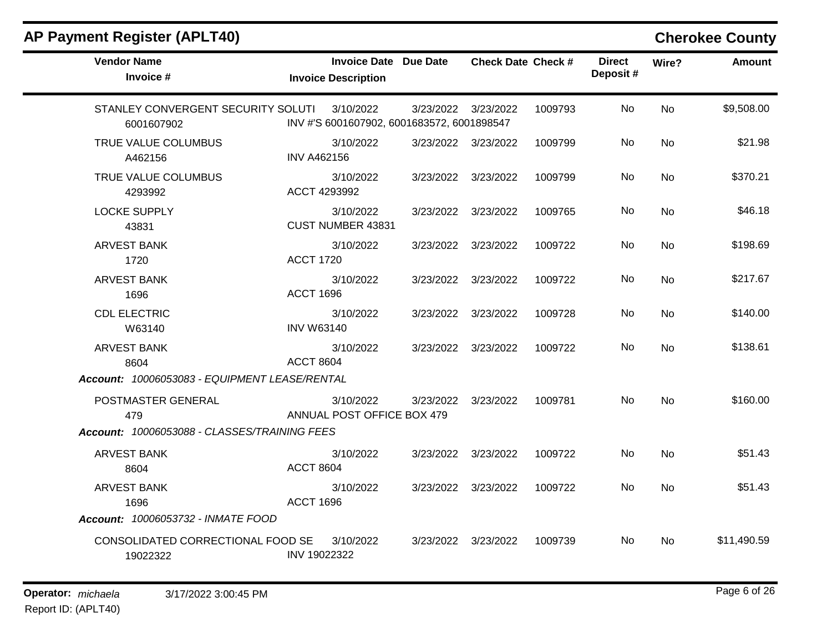| <b>Vendor Name</b><br>Invoice #                                                                                            | <b>Invoice Date Due Date</b><br><b>Invoice Description</b> |                     | <b>Check Date Check #</b> |         | <b>Direct</b><br>Deposit# | Wire?     | <b>Amount</b> |
|----------------------------------------------------------------------------------------------------------------------------|------------------------------------------------------------|---------------------|---------------------------|---------|---------------------------|-----------|---------------|
| STANLEY CONVERGENT SECURITY SOLUTI<br>6001607902                                                                           | 3/10/2022<br>INV #'S 6001607902, 6001683572, 6001898547    | 3/23/2022 3/23/2022 |                           | 1009793 | <b>No</b>                 | No        | \$9,508.00    |
| TRUE VALUE COLUMBUS<br>A462156                                                                                             | 3/10/2022<br><b>INV A462156</b>                            | 3/23/2022 3/23/2022 |                           | 1009799 | No                        | No        | \$21.98       |
| TRUE VALUE COLUMBUS<br>4293992                                                                                             | 3/10/2022<br>ACCT 4293992                                  | 3/23/2022 3/23/2022 |                           | 1009799 | No                        | <b>No</b> | \$370.21      |
| <b>LOCKE SUPPLY</b><br>43831                                                                                               | 3/10/2022<br>CUST NUMBER 43831                             | 3/23/2022 3/23/2022 |                           | 1009765 | No.                       | <b>No</b> | \$46.18       |
| <b>ARVEST BANK</b><br>1720                                                                                                 | 3/10/2022<br><b>ACCT 1720</b>                              | 3/23/2022 3/23/2022 |                           | 1009722 | No                        | <b>No</b> | \$198.69      |
| <b>ARVEST BANK</b><br>1696                                                                                                 | 3/10/2022<br><b>ACCT 1696</b>                              | 3/23/2022 3/23/2022 |                           | 1009722 | <b>No</b>                 | <b>No</b> | \$217.67      |
| <b>CDL ELECTRIC</b><br>W63140                                                                                              | 3/10/2022<br><b>INV W63140</b>                             | 3/23/2022 3/23/2022 |                           | 1009728 | No                        | <b>No</b> | \$140.00      |
| <b>ARVEST BANK</b><br>8604                                                                                                 | 3/10/2022<br><b>ACCT 8604</b>                              | 3/23/2022 3/23/2022 |                           | 1009722 | No                        | <b>No</b> | \$138.61      |
| Account: 10006053083 - EQUIPMENT LEASE/RENTAL<br>POSTMASTER GENERAL<br>479<br>Account: 10006053088 - CLASSES/TRAINING FEES | 3/10/2022<br>ANNUAL POST OFFICE BOX 479                    | 3/23/2022 3/23/2022 |                           | 1009781 | <b>No</b>                 | <b>No</b> | \$160.00      |
| <b>ARVEST BANK</b><br>8604                                                                                                 | 3/10/2022<br><b>ACCT 8604</b>                              | 3/23/2022 3/23/2022 |                           | 1009722 | <b>No</b>                 | <b>No</b> | \$51.43       |
| <b>ARVEST BANK</b><br>1696                                                                                                 | 3/10/2022<br><b>ACCT 1696</b>                              | 3/23/2022 3/23/2022 |                           | 1009722 | No                        | No        | \$51.43       |
| Account: 10006053732 - INMATE FOOD<br>CONSOLIDATED CORRECTIONAL FOOD SE<br>19022322                                        | 3/10/2022<br>INV 19022322                                  | 3/23/2022 3/23/2022 |                           | 1009739 | No.                       | <b>No</b> | \$11,490.59   |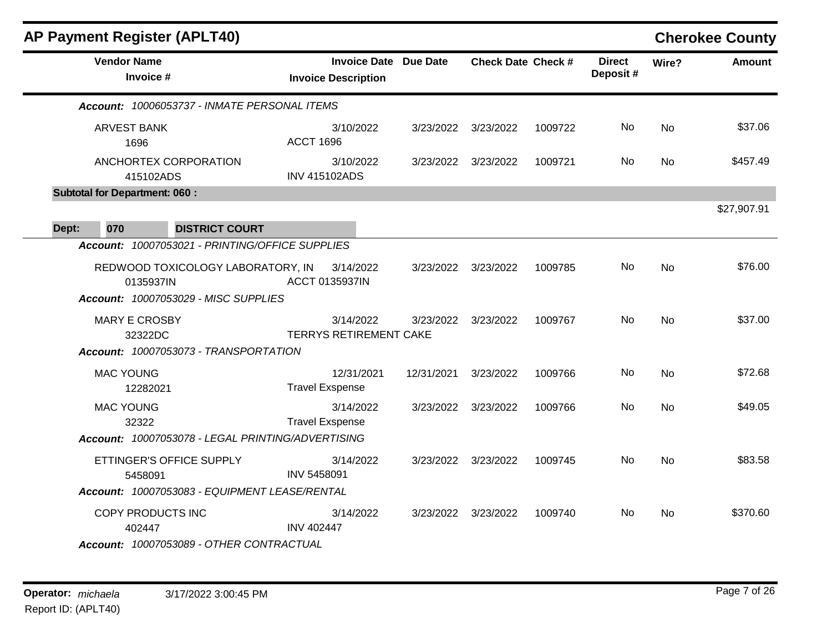| <b>AP Payment Register (APLT40)</b>                                                                                                       |                                                            |            |                           |         |                           |           | <b>Cherokee County</b> |
|-------------------------------------------------------------------------------------------------------------------------------------------|------------------------------------------------------------|------------|---------------------------|---------|---------------------------|-----------|------------------------|
| <b>Vendor Name</b><br>Invoice #                                                                                                           | <b>Invoice Date Due Date</b><br><b>Invoice Description</b> |            | <b>Check Date Check #</b> |         | <b>Direct</b><br>Deposit# | Wire?     | <b>Amount</b>          |
| Account: 10006053737 - INMATE PERSONAL ITEMS                                                                                              |                                                            |            |                           |         |                           |           |                        |
| ARVEST BANK<br>1696                                                                                                                       | 3/10/2022<br><b>ACCT 1696</b>                              | 3/23/2022  | 3/23/2022                 | 1009722 | No.                       | No        | \$37.06                |
| ANCHORTEX CORPORATION<br>415102ADS                                                                                                        | 3/10/2022<br><b>INV 415102ADS</b>                          | 3/23/2022  | 3/23/2022                 | 1009721 | No.                       | No        | \$457.49               |
| <b>Subtotal for Department: 060:</b>                                                                                                      |                                                            |            |                           |         |                           |           |                        |
| <b>DISTRICT COURT</b><br>070<br>Dept:                                                                                                     |                                                            |            |                           |         |                           |           | \$27,907.91            |
| Account: 10007053021 - PRINTING/OFFICE SUPPLIES<br>REDWOOD TOXICOLOGY LABORATORY, IN<br>0135937IN<br>Account: 10007053029 - MISC SUPPLIES | 3/14/2022<br><b>ACCT 0135937IN</b>                         | 3/23/2022  | 3/23/2022                 | 1009785 | No.                       | <b>No</b> | \$76.00                |
| <b>MARY E CROSBY</b><br>32322DC<br>Account: 10007053073 - TRANSPORTATION                                                                  | 3/14/2022<br><b>TERRYS RETIREMENT CAKE</b>                 | 3/23/2022  | 3/23/2022                 | 1009767 | No.                       | No        | \$37.00                |
| <b>MAC YOUNG</b><br>12282021                                                                                                              | 12/31/2021<br><b>Travel Exspense</b>                       | 12/31/2021 | 3/23/2022                 | 1009766 | No                        | No        | \$72.68                |
| <b>MAC YOUNG</b><br>32322<br>Account: 10007053078 - LEGAL PRINTING/ADVERTISING                                                            | 3/14/2022<br><b>Travel Exspense</b>                        | 3/23/2022  | 3/23/2022                 | 1009766 | No.                       | No        | \$49.05                |
| ETTINGER'S OFFICE SUPPLY<br>5458091<br>Account: 10007053083 - EQUIPMENT LEASE/RENTAL                                                      | 3/14/2022<br><b>INV 5458091</b>                            | 3/23/2022  | 3/23/2022                 | 1009745 | No.                       | No        | \$83.58                |
| COPY PRODUCTS INC<br>402447<br>Account: 10007053089 - OTHER CONTRACTUAL                                                                   | 3/14/2022<br><b>INV 402447</b>                             | 3/23/2022  | 3/23/2022                 | 1009740 | No                        | No        | \$370.60               |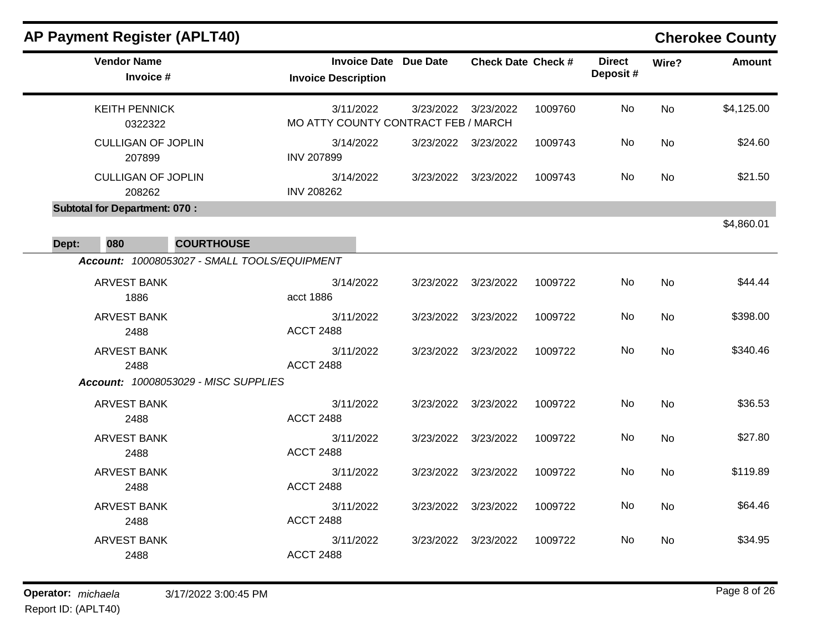| <b>AP Payment Register (APLT40)</b>  |                                              |                                                   |                 |                           |         |                           |           | <b>Cherokee County</b> |
|--------------------------------------|----------------------------------------------|---------------------------------------------------|-----------------|---------------------------|---------|---------------------------|-----------|------------------------|
| <b>Vendor Name</b><br>Invoice #      |                                              | <b>Invoice Date</b><br><b>Invoice Description</b> | <b>Due Date</b> | <b>Check Date Check #</b> |         | <b>Direct</b><br>Deposit# | Wire?     | <b>Amount</b>          |
| <b>KEITH PENNICK</b><br>0322322      |                                              | 3/11/2022<br>MO ATTY COUNTY CONTRACT FEB / MARCH  | 3/23/2022       | 3/23/2022                 | 1009760 | No.                       | <b>No</b> | \$4,125.00             |
| <b>CULLIGAN OF JOPLIN</b><br>207899  |                                              | 3/14/2022<br><b>INV 207899</b>                    | 3/23/2022       | 3/23/2022                 | 1009743 | No.                       | <b>No</b> | \$24.60                |
| <b>CULLIGAN OF JOPLIN</b><br>208262  |                                              | 3/14/2022<br><b>INV 208262</b>                    | 3/23/2022       | 3/23/2022                 | 1009743 | No                        | <b>No</b> | \$21.50                |
| <b>Subtotal for Department: 070:</b> |                                              |                                                   |                 |                           |         |                           |           | \$4,860.01             |
| 080<br>Dept:                         | <b>COURTHOUSE</b>                            |                                                   |                 |                           |         |                           |           |                        |
|                                      | Account: 10008053027 - SMALL TOOLS/EQUIPMENT |                                                   |                 |                           |         |                           |           |                        |
| <b>ARVEST BANK</b><br>1886           |                                              | 3/14/2022<br>acct 1886                            | 3/23/2022       | 3/23/2022                 | 1009722 | No.                       | <b>No</b> | \$44.44                |
| <b>ARVEST BANK</b><br>2488           |                                              | 3/11/2022<br><b>ACCT 2488</b>                     | 3/23/2022       | 3/23/2022                 | 1009722 | No.                       | No        | \$398.00               |
| <b>ARVEST BANK</b><br>2488           |                                              | 3/11/2022<br><b>ACCT 2488</b>                     | 3/23/2022       | 3/23/2022                 | 1009722 | No.                       | <b>No</b> | \$340.46               |
|                                      | Account: 10008053029 - MISC SUPPLIES         |                                                   |                 |                           |         |                           |           |                        |
| <b>ARVEST BANK</b><br>2488           |                                              | 3/11/2022<br><b>ACCT 2488</b>                     | 3/23/2022       | 3/23/2022                 | 1009722 | No                        | <b>No</b> | \$36.53                |
| <b>ARVEST BANK</b><br>2488           |                                              | 3/11/2022<br><b>ACCT 2488</b>                     | 3/23/2022       | 3/23/2022                 | 1009722 | No                        | No        | \$27.80                |
| <b>ARVEST BANK</b><br>2488           |                                              | 3/11/2022<br><b>ACCT 2488</b>                     | 3/23/2022       | 3/23/2022                 | 1009722 | No                        | <b>No</b> | \$119.89               |
| <b>ARVEST BANK</b><br>2488           |                                              | 3/11/2022<br><b>ACCT 2488</b>                     | 3/23/2022       | 3/23/2022                 | 1009722 | No                        | <b>No</b> | \$64.46                |
| <b>ARVEST BANK</b><br>2488           |                                              | 3/11/2022<br><b>ACCT 2488</b>                     | 3/23/2022       | 3/23/2022                 | 1009722 | No                        | <b>No</b> | \$34.95                |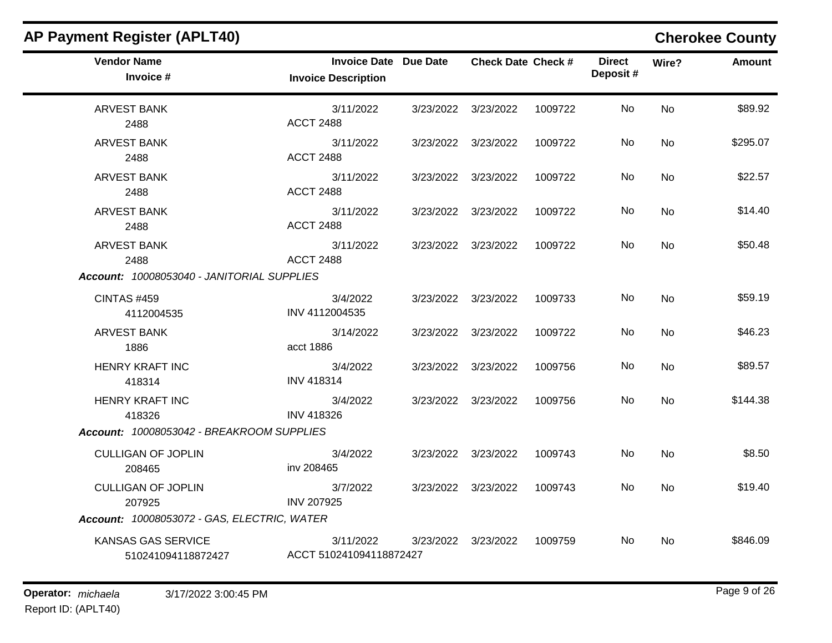| <b>AP Payment Register (APLT40)</b>             |                                                            |           |                           |         |                           |           | <b>Cherokee County</b> |
|-------------------------------------------------|------------------------------------------------------------|-----------|---------------------------|---------|---------------------------|-----------|------------------------|
| <b>Vendor Name</b><br>Invoice #                 | <b>Invoice Date Due Date</b><br><b>Invoice Description</b> |           | <b>Check Date Check #</b> |         | <b>Direct</b><br>Deposit# | Wire?     | <b>Amount</b>          |
| <b>ARVEST BANK</b><br>2488                      | 3/11/2022<br><b>ACCT 2488</b>                              | 3/23/2022 | 3/23/2022                 | 1009722 | No                        | <b>No</b> | \$89.92                |
| <b>ARVEST BANK</b><br>2488                      | 3/11/2022<br><b>ACCT 2488</b>                              | 3/23/2022 | 3/23/2022                 | 1009722 | No                        | No        | \$295.07               |
| <b>ARVEST BANK</b><br>2488                      | 3/11/2022<br><b>ACCT 2488</b>                              | 3/23/2022 | 3/23/2022                 | 1009722 | No                        | <b>No</b> | \$22.57                |
| <b>ARVEST BANK</b><br>2488                      | 3/11/2022<br><b>ACCT 2488</b>                              | 3/23/2022 | 3/23/2022                 | 1009722 | No                        | <b>No</b> | \$14.40                |
| <b>ARVEST BANK</b><br>2488                      | 3/11/2022<br><b>ACCT 2488</b>                              |           | 3/23/2022 3/23/2022       | 1009722 | No                        | <b>No</b> | \$50.48                |
| Account: 10008053040 - JANITORIAL SUPPLIES      |                                                            |           |                           |         |                           |           |                        |
| <b>CINTAS #459</b><br>4112004535                | 3/4/2022<br>INV 4112004535                                 | 3/23/2022 | 3/23/2022                 | 1009733 | No                        | <b>No</b> | \$59.19                |
| <b>ARVEST BANK</b><br>1886                      | 3/14/2022<br>acct 1886                                     | 3/23/2022 | 3/23/2022                 | 1009722 | No                        | No        | \$46.23                |
| <b>HENRY KRAFT INC</b><br>418314                | 3/4/2022<br><b>INV 418314</b>                              | 3/23/2022 | 3/23/2022                 | 1009756 | No                        | <b>No</b> | \$89.57                |
| <b>HENRY KRAFT INC</b><br>418326                | 3/4/2022<br><b>INV 418326</b>                              | 3/23/2022 | 3/23/2022                 | 1009756 | No                        | <b>No</b> | \$144.38               |
| Account: 10008053042 - BREAKROOM SUPPLIES       |                                                            |           |                           |         |                           |           |                        |
| <b>CULLIGAN OF JOPLIN</b><br>208465             | 3/4/2022<br>inv 208465                                     | 3/23/2022 | 3/23/2022                 | 1009743 | No                        | No        | \$8.50                 |
| <b>CULLIGAN OF JOPLIN</b><br>207925             | 3/7/2022<br><b>INV 207925</b>                              | 3/23/2022 | 3/23/2022                 | 1009743 | No                        | <b>No</b> | \$19.40                |
| Account: 10008053072 - GAS, ELECTRIC, WATER     |                                                            |           |                           |         |                           |           |                        |
| <b>KANSAS GAS SERVICE</b><br>510241094118872427 | 3/11/2022<br>ACCT 510241094118872427                       | 3/23/2022 | 3/23/2022                 | 1009759 | No.                       | <b>No</b> | \$846.09               |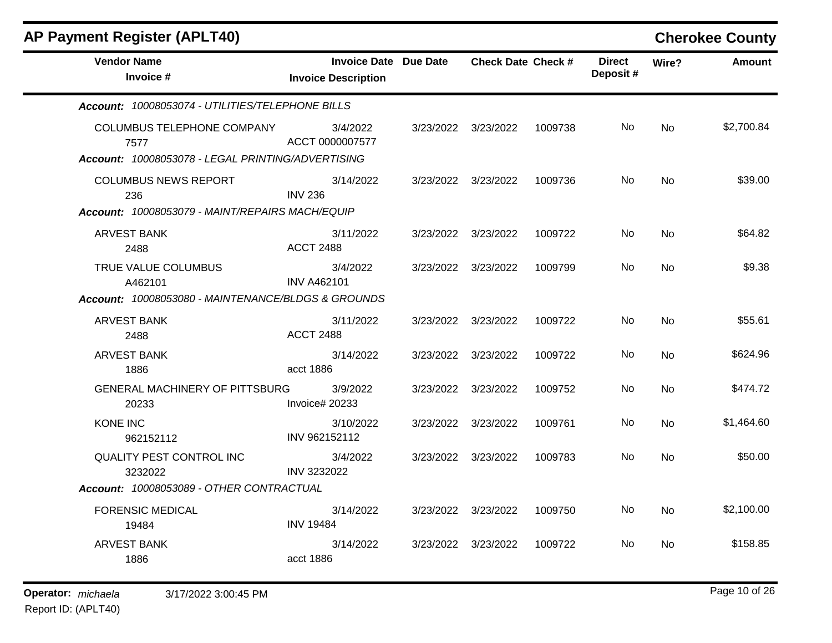| <b>AP Payment Register (APLT40)</b>                                                     |                                                     |           |                           |         |                           |           | <b>Cherokee County</b> |
|-----------------------------------------------------------------------------------------|-----------------------------------------------------|-----------|---------------------------|---------|---------------------------|-----------|------------------------|
| <b>Vendor Name</b><br>Invoice #                                                         | Invoice Date Due Date<br><b>Invoice Description</b> |           | <b>Check Date Check #</b> |         | <b>Direct</b><br>Deposit# | Wire?     | <b>Amount</b>          |
| Account: 10008053074 - UTILITIES/TELEPHONE BILLS                                        |                                                     |           |                           |         |                           |           |                        |
| COLUMBUS TELEPHONE COMPANY<br>7577<br>Account: 10008053078 - LEGAL PRINTING/ADVERTISING | 3/4/2022<br>ACCT 0000007577                         |           | 3/23/2022 3/23/2022       | 1009738 | No.                       | No        | \$2,700.84             |
| <b>COLUMBUS NEWS REPORT</b><br>236                                                      | 3/14/2022<br><b>INV 236</b>                         | 3/23/2022 | 3/23/2022                 | 1009736 | No.                       | No        | \$39.00                |
| Account: 10008053079 - MAINT/REPAIRS MACH/EQUIP                                         |                                                     |           |                           |         |                           |           |                        |
| <b>ARVEST BANK</b><br>2488                                                              | 3/11/2022<br><b>ACCT 2488</b>                       |           | 3/23/2022 3/23/2022       | 1009722 | No.                       | <b>No</b> | \$64.82                |
| TRUE VALUE COLUMBUS<br>A462101                                                          | 3/4/2022<br><b>INV A462101</b>                      |           | 3/23/2022 3/23/2022       | 1009799 | No                        | <b>No</b> | \$9.38                 |
| Account: 10008053080 - MAINTENANCE/BLDGS & GROUNDS                                      |                                                     |           |                           |         |                           |           |                        |
| <b>ARVEST BANK</b><br>2488                                                              | 3/11/2022<br><b>ACCT 2488</b>                       |           | 3/23/2022 3/23/2022       | 1009722 | No                        | <b>No</b> | \$55.61                |
| <b>ARVEST BANK</b><br>1886                                                              | 3/14/2022<br>acct 1886                              | 3/23/2022 | 3/23/2022                 | 1009722 | No.                       | <b>No</b> | \$624.96               |
| <b>GENERAL MACHINERY OF PITTSBURG</b><br>20233                                          | 3/9/2022<br>Invoice# 20233                          | 3/23/2022 | 3/23/2022                 | 1009752 | No                        | No        | \$474.72               |
| KONE INC<br>962152112                                                                   | 3/10/2022<br>INV 962152112                          | 3/23/2022 | 3/23/2022                 | 1009761 | No.                       | <b>No</b> | \$1,464.60             |
| QUALITY PEST CONTROL INC<br>3232022                                                     | 3/4/2022<br>INV 3232022                             |           | 3/23/2022 3/23/2022       | 1009783 | No.                       | <b>No</b> | \$50.00                |
| Account: 10008053089 - OTHER CONTRACTUAL                                                |                                                     |           |                           |         |                           |           |                        |
| <b>FORENSIC MEDICAL</b><br>19484                                                        | 3/14/2022<br><b>INV 19484</b>                       |           | 3/23/2022 3/23/2022       | 1009750 | No                        | No        | \$2,100.00             |
| <b>ARVEST BANK</b><br>1886                                                              | 3/14/2022<br>acct 1886                              |           | 3/23/2022 3/23/2022       | 1009722 | No.                       | <b>No</b> | \$158.85               |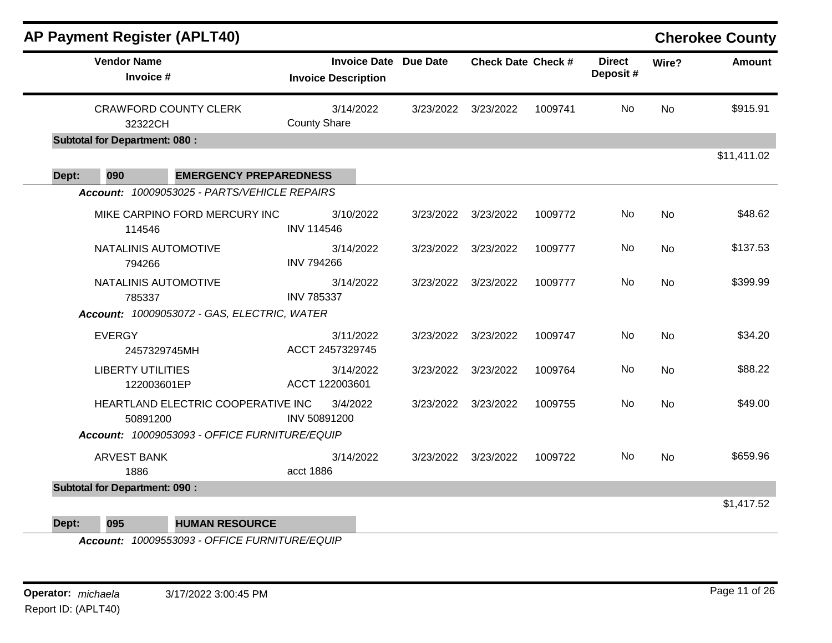|       | <b>AP Payment Register (APLT40)</b>            |                                  |                              |                           |         |                           |           | <b>Cherokee County</b> |
|-------|------------------------------------------------|----------------------------------|------------------------------|---------------------------|---------|---------------------------|-----------|------------------------|
|       | <b>Vendor Name</b><br>Invoice #                | <b>Invoice Description</b>       | <b>Invoice Date Due Date</b> | <b>Check Date Check #</b> |         | <b>Direct</b><br>Deposit# | Wire?     | <b>Amount</b>          |
|       | <b>CRAWFORD COUNTY CLERK</b><br>32322CH        | 3/14/2022<br><b>County Share</b> |                              | 3/23/2022 3/23/2022       | 1009741 | <b>No</b>                 | <b>No</b> | \$915.91               |
|       | <b>Subtotal for Department: 080:</b>           |                                  |                              |                           |         |                           |           |                        |
|       |                                                |                                  |                              |                           |         |                           |           | \$11,411.02            |
| Dept: | 090<br><b>EMERGENCY PREPAREDNESS</b>           |                                  |                              |                           |         |                           |           |                        |
|       | Account: 10009053025 - PARTS/VEHICLE REPAIRS   |                                  |                              |                           |         |                           |           |                        |
|       | MIKE CARPINO FORD MERCURY INC<br>114546        | 3/10/2022<br><b>INV 114546</b>   |                              | 3/23/2022 3/23/2022       | 1009772 | No                        | No        | \$48.62                |
|       | NATALINIS AUTOMOTIVE<br>794266                 | 3/14/2022<br><b>INV 794266</b>   |                              | 3/23/2022 3/23/2022       | 1009777 | No                        | <b>No</b> | \$137.53               |
|       | NATALINIS AUTOMOTIVE<br>785337                 | 3/14/2022<br><b>INV 785337</b>   |                              | 3/23/2022 3/23/2022       | 1009777 | No                        | <b>No</b> | \$399.99               |
|       | Account: 10009053072 - GAS, ELECTRIC, WATER    |                                  |                              |                           |         |                           |           |                        |
|       | <b>EVERGY</b><br>2457329745MH                  | 3/11/2022<br>ACCT 2457329745     |                              | 3/23/2022 3/23/2022       | 1009747 | No                        | <b>No</b> | \$34.20                |
|       | <b>LIBERTY UTILITIES</b><br>122003601EP        | 3/14/2022<br>ACCT 122003601      |                              | 3/23/2022 3/23/2022       | 1009764 | No                        | No        | \$88.22                |
|       | HEARTLAND ELECTRIC COOPERATIVE INC<br>50891200 | 3/4/2022<br>INV 50891200         |                              | 3/23/2022 3/23/2022       | 1009755 | No                        | No        | \$49.00                |
|       | Account: 10009053093 - OFFICE FURNITURE/EQUIP  |                                  |                              |                           |         |                           |           |                        |
|       | ARVEST BANK<br>1886                            | 3/14/2022<br>acct 1886           |                              | 3/23/2022 3/23/2022       | 1009722 | No.                       | <b>No</b> | \$659.96               |
|       | <b>Subtotal for Department: 090:</b>           |                                  |                              |                           |         |                           |           |                        |
|       |                                                |                                  |                              |                           |         |                           |           | \$1,417.52             |

**Dept: 095 HUMAN RESOURCE**

*Account: 10009553093 - OFFICE FURNITURE/EQUIP*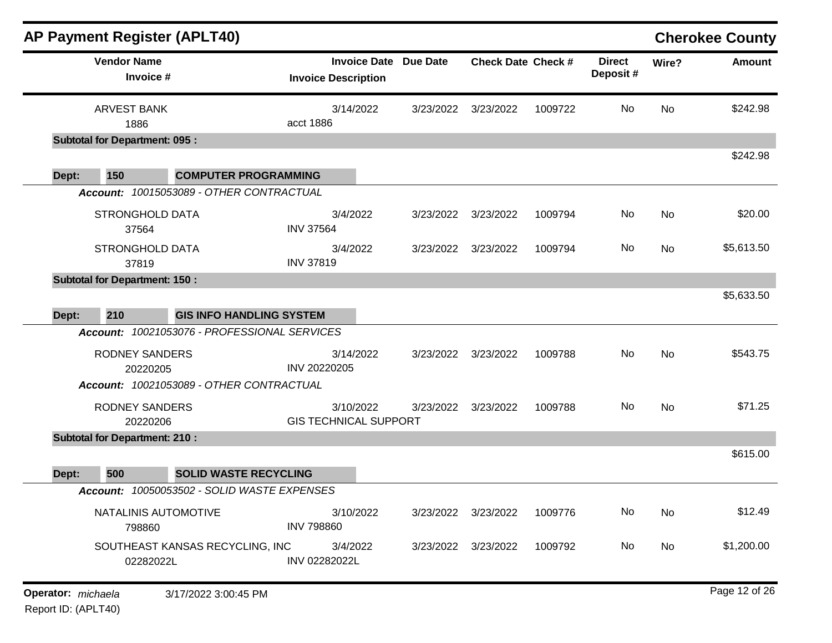|       |                                       | <b>AP Payment Register (APLT40)</b>         |                                           |                              |                           |         |                           |       | <b>Cherokee County</b> |
|-------|---------------------------------------|---------------------------------------------|-------------------------------------------|------------------------------|---------------------------|---------|---------------------------|-------|------------------------|
|       | <b>Vendor Name</b><br>Invoice #       |                                             | <b>Invoice Description</b>                | <b>Invoice Date Due Date</b> | <b>Check Date Check #</b> |         | <b>Direct</b><br>Deposit# | Wire? | <b>Amount</b>          |
|       | <b>ARVEST BANK</b><br>1886            |                                             | 3/14/2022<br>acct 1886                    | 3/23/2022                    | 3/23/2022                 | 1009722 | No                        | No    | \$242.98               |
|       | <b>Subtotal for Department: 095 :</b> |                                             |                                           |                              |                           |         |                           |       |                        |
|       |                                       |                                             |                                           |                              |                           |         |                           |       | \$242.98               |
| Dept: | 150                                   | <b>COMPUTER PROGRAMMING</b>                 |                                           |                              |                           |         |                           |       |                        |
|       |                                       | Account: 10015053089 - OTHER CONTRACTUAL    |                                           |                              |                           |         |                           |       |                        |
|       | <b>STRONGHOLD DATA</b><br>37564       |                                             | 3/4/2022<br><b>INV 37564</b>              | 3/23/2022                    | 3/23/2022                 | 1009794 | No                        | No    | \$20.00                |
|       | <b>STRONGHOLD DATA</b><br>37819       |                                             | 3/4/2022<br><b>INV 37819</b>              | 3/23/2022                    | 3/23/2022                 | 1009794 | No                        | No    | \$5,613.50             |
|       | <b>Subtotal for Department: 150:</b>  |                                             |                                           |                              |                           |         |                           |       |                        |
|       |                                       |                                             |                                           |                              |                           |         |                           |       | \$5,633.50             |
| Dept: | 210                                   | <b>GIS INFO HANDLING SYSTEM</b>             |                                           |                              |                           |         |                           |       |                        |
|       | Account:                              | 10021053076 - PROFESSIONAL SERVICES         |                                           |                              |                           |         |                           |       |                        |
|       | <b>RODNEY SANDERS</b><br>20220205     |                                             | 3/14/2022<br>INV 20220205                 | 3/23/2022                    | 3/23/2022                 | 1009788 | No                        | No    | \$543.75               |
|       |                                       | Account: 10021053089 - OTHER CONTRACTUAL    |                                           |                              |                           |         |                           |       |                        |
|       | <b>RODNEY SANDERS</b><br>20220206     |                                             | 3/10/2022<br><b>GIS TECHNICAL SUPPORT</b> | 3/23/2022                    | 3/23/2022                 | 1009788 | No.                       | No    | \$71.25                |
|       | <b>Subtotal for Department: 210:</b>  |                                             |                                           |                              |                           |         |                           |       |                        |
| Dept: | 500                                   | <b>SOLID WASTE RECYCLING</b>                |                                           |                              |                           |         |                           |       | \$615.00               |
|       |                                       | Account: 10050053502 - SOLID WASTE EXPENSES |                                           |                              |                           |         |                           |       |                        |
|       | NATALINIS AUTOMOTIVE<br>798860        |                                             | 3/10/2022<br><b>INV 798860</b>            |                              | 3/23/2022 3/23/2022       | 1009776 | No                        | No    | \$12.49                |
|       | 02282022L                             | SOUTHEAST KANSAS RECYCLING, INC             | 3/4/2022<br>INV 02282022L                 |                              | 3/23/2022 3/23/2022       | 1009792 | No                        | No    | \$1,200.00             |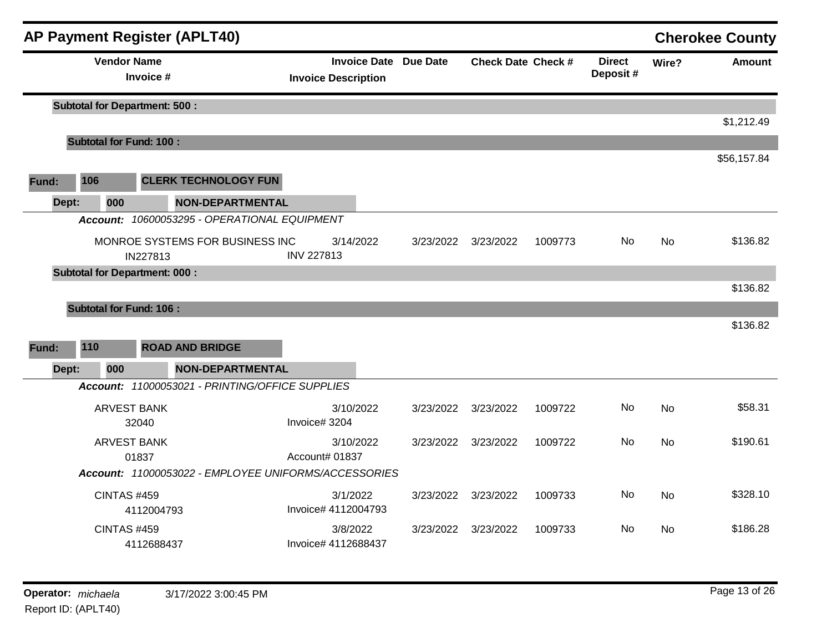|       |                                                  |                                      |            | <b>AP Payment Register (APLT40)</b>                  |                                 |           |                              |                           |         |                           |           | <b>Cherokee County</b> |
|-------|--------------------------------------------------|--------------------------------------|------------|------------------------------------------------------|---------------------------------|-----------|------------------------------|---------------------------|---------|---------------------------|-----------|------------------------|
|       |                                                  | <b>Vendor Name</b>                   | Invoice #  |                                                      | <b>Invoice Description</b>      |           | <b>Invoice Date Due Date</b> | <b>Check Date Check #</b> |         | <b>Direct</b><br>Deposit# | Wire?     | <b>Amount</b>          |
|       |                                                  | <b>Subtotal for Department: 500:</b> |            |                                                      |                                 |           |                              |                           |         |                           |           |                        |
|       |                                                  |                                      |            |                                                      |                                 |           |                              |                           |         |                           |           | \$1,212.49             |
|       | <b>Subtotal for Fund: 100:</b>                   |                                      |            |                                                      |                                 |           |                              |                           |         |                           |           |                        |
|       |                                                  |                                      |            |                                                      |                                 |           |                              |                           |         |                           |           | \$56,157.84            |
| Fund: |                                                  | 106                                  |            | <b>CLERK TECHNOLOGY FUN</b>                          |                                 |           |                              |                           |         |                           |           |                        |
|       | Dept:                                            | 000                                  |            | <b>NON-DEPARTMENTAL</b>                              |                                 |           |                              |                           |         |                           |           |                        |
|       |                                                  |                                      |            | Account: 10600053295 - OPERATIONAL EQUIPMENT         |                                 |           |                              |                           |         |                           |           |                        |
|       |                                                  |                                      |            | MONROE SYSTEMS FOR BUSINESS INC                      |                                 | 3/14/2022 | 3/23/2022                    | 3/23/2022                 | 1009773 | No.                       | <b>No</b> | \$136.82               |
|       | IN227813<br><b>Subtotal for Department: 000:</b> |                                      |            | <b>INV 227813</b>                                    |                                 |           |                              |                           |         |                           |           |                        |
|       |                                                  |                                      |            |                                                      |                                 |           |                              |                           |         |                           |           | \$136.82               |
|       |                                                  | <b>Subtotal for Fund: 106:</b>       |            |                                                      |                                 |           |                              |                           |         |                           |           |                        |
|       |                                                  |                                      |            |                                                      |                                 |           |                              |                           |         |                           |           | \$136.82               |
| Fund: |                                                  | 110                                  |            | <b>ROAD AND BRIDGE</b>                               |                                 |           |                              |                           |         |                           |           |                        |
|       | Dept:                                            | 000                                  |            | <b>NON-DEPARTMENTAL</b>                              |                                 |           |                              |                           |         |                           |           |                        |
|       |                                                  |                                      |            | Account: 11000053021 - PRINTING/OFFICE SUPPLIES      |                                 |           |                              |                           |         |                           |           |                        |
|       |                                                  | <b>ARVEST BANK</b>                   |            |                                                      |                                 | 3/10/2022 | 3/23/2022                    | 3/23/2022                 | 1009722 | <b>No</b>                 | <b>No</b> | \$58.31                |
|       |                                                  |                                      | 32040      |                                                      | Invoice# 3204                   |           |                              |                           |         |                           |           |                        |
|       |                                                  | <b>ARVEST BANK</b>                   |            |                                                      |                                 | 3/10/2022 | 3/23/2022                    | 3/23/2022                 | 1009722 | No                        | <b>No</b> | \$190.61               |
|       |                                                  |                                      | 01837      |                                                      | Account# 01837                  |           |                              |                           |         |                           |           |                        |
|       |                                                  |                                      |            | Account: 11000053022 - EMPLOYEE UNIFORMS/ACCESSORIES |                                 |           |                              |                           |         |                           |           |                        |
|       |                                                  | <b>CINTAS #459</b>                   | 4112004793 |                                                      | 3/1/2022<br>Invoice# 4112004793 |           | 3/23/2022                    | 3/23/2022                 | 1009733 | No                        | <b>No</b> | \$328.10               |
|       |                                                  | <b>CINTAS #459</b>                   | 4112688437 |                                                      | 3/8/2022<br>Invoice# 4112688437 |           | 3/23/2022                    | 3/23/2022                 | 1009733 | No.                       | No        | \$186.28               |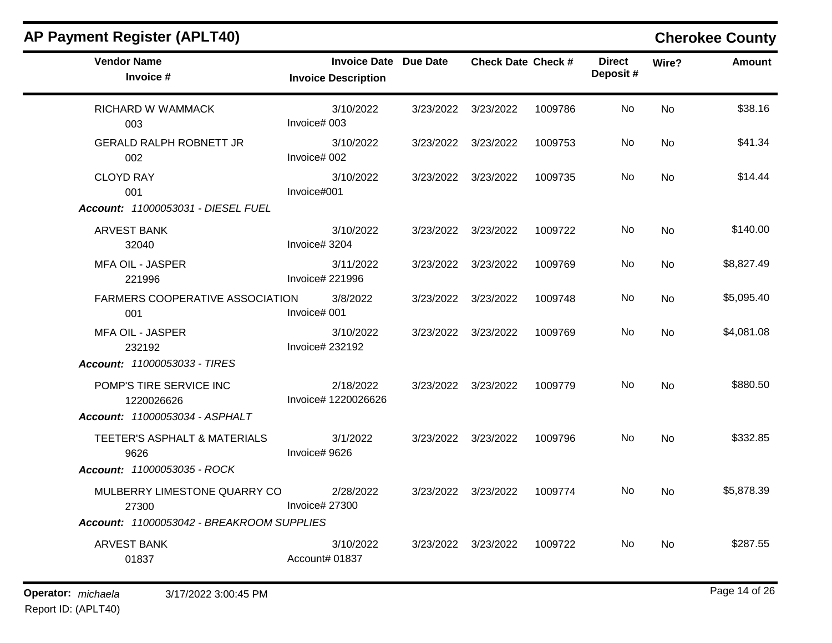| <b>Vendor Name</b><br>Invoice #           | Invoice Date Due Date<br><b>Invoice Description</b> |                     | <b>Check Date Check #</b> |         | <b>Direct</b><br>Deposit# | Wire?     | <b>Amount</b> |
|-------------------------------------------|-----------------------------------------------------|---------------------|---------------------------|---------|---------------------------|-----------|---------------|
| RICHARD W WAMMACK<br>003                  | 3/10/2022<br>Invoice# 003                           | 3/23/2022 3/23/2022 |                           | 1009786 | No                        | <b>No</b> | \$38.16       |
| <b>GERALD RALPH ROBNETT JR</b><br>002     | 3/10/2022<br>Invoice# 002                           | 3/23/2022 3/23/2022 |                           | 1009753 | No.                       | No        | \$41.34       |
| <b>CLOYD RAY</b><br>001                   | 3/10/2022<br>Invoice#001                            | 3/23/2022 3/23/2022 |                           | 1009735 | No                        | <b>No</b> | \$14.44       |
| Account: 11000053031 - DIESEL FUEL        |                                                     |                     |                           |         |                           |           |               |
| ARVEST BANK<br>32040                      | 3/10/2022<br>Invoice# 3204                          | 3/23/2022 3/23/2022 |                           | 1009722 | No.                       | <b>No</b> | \$140.00      |
| MFA OIL - JASPER<br>221996                | 3/11/2022<br>Invoice# 221996                        | 3/23/2022 3/23/2022 |                           | 1009769 | No.                       | No        | \$8,827.49    |
| FARMERS COOPERATIVE ASSOCIATION<br>001    | 3/8/2022<br>Invoice# 001                            | 3/23/2022 3/23/2022 |                           | 1009748 | No.                       | No        | \$5,095.40    |
| <b>MFA OIL - JASPER</b><br>232192         | 3/10/2022<br>Invoice# 232192                        |                     | 3/23/2022 3/23/2022       | 1009769 | No                        | No        | \$4,081.08    |
| Account: 11000053033 - TIRES              |                                                     |                     |                           |         |                           |           |               |
| POMP'S TIRE SERVICE INC<br>1220026626     | 2/18/2022<br>Invoice# 1220026626                    |                     | 3/23/2022 3/23/2022       | 1009779 | No.                       | <b>No</b> | \$880.50      |
| Account: 11000053034 - ASPHALT            |                                                     |                     |                           |         |                           |           |               |
| TEETER'S ASPHALT & MATERIALS<br>9626      | 3/1/2022<br>Invoice# 9626                           |                     | 3/23/2022 3/23/2022       | 1009796 | No.                       | <b>No</b> | \$332.85      |
| Account: 11000053035 - ROCK               |                                                     |                     |                           |         |                           |           |               |
| MULBERRY LIMESTONE QUARRY CO<br>27300     | 2/28/2022<br>Invoice# 27300                         |                     | 3/23/2022 3/23/2022       | 1009774 | <b>No</b>                 | <b>No</b> | \$5,878.39    |
| Account: 11000053042 - BREAKROOM SUPPLIES |                                                     |                     |                           |         |                           |           |               |
| <b>ARVEST BANK</b><br>01837               | 3/10/2022<br>Account# 01837                         |                     | 3/23/2022 3/23/2022       | 1009722 | No.                       | No        | \$287.55      |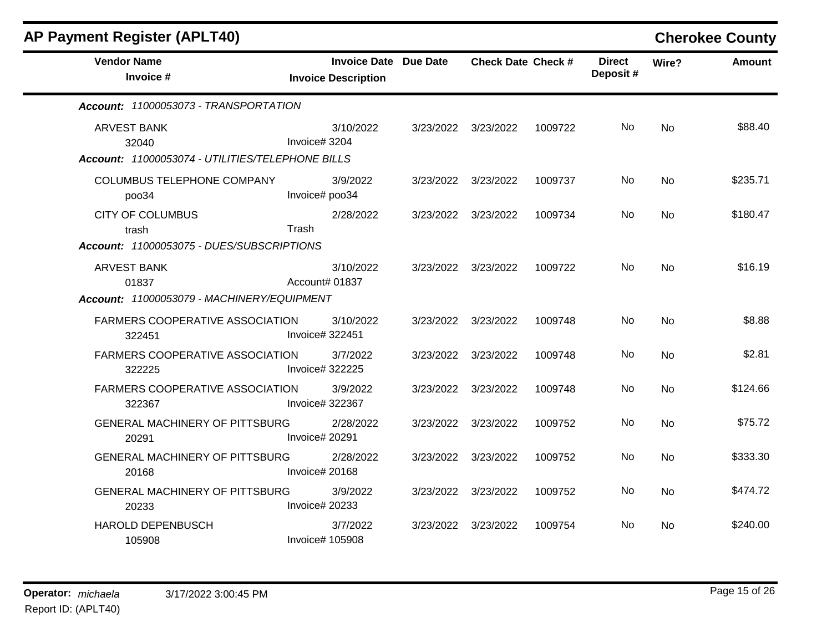| <b>AP Payment Register (APLT40)</b>              |                              |                              |                     |                           |                           |           | <b>Cherokee County</b> |
|--------------------------------------------------|------------------------------|------------------------------|---------------------|---------------------------|---------------------------|-----------|------------------------|
| <b>Vendor Name</b><br>Invoice #                  | <b>Invoice Description</b>   | <b>Invoice Date Due Date</b> |                     | <b>Check Date Check #</b> | <b>Direct</b><br>Deposit# | Wire?     | <b>Amount</b>          |
| Account: 11000053073 - TRANSPORTATION            |                              |                              |                     |                           |                           |           |                        |
| <b>ARVEST BANK</b><br>32040                      | 3/10/2022<br>Invoice# 3204   |                              | 3/23/2022 3/23/2022 | 1009722                   | No.                       | <b>No</b> | \$88.40                |
| Account: 11000053074 - UTILITIES/TELEPHONE BILLS |                              |                              |                     |                           |                           |           |                        |
| <b>COLUMBUS TELEPHONE COMPANY</b><br>poo34       | 3/9/2022<br>Invoice# poo34   |                              | 3/23/2022 3/23/2022 | 1009737                   | No.                       | <b>No</b> | \$235.71               |
| <b>CITY OF COLUMBUS</b><br>trash                 | 2/28/2022<br>Trash           | 3/23/2022                    | 3/23/2022           | 1009734                   | No                        | <b>No</b> | \$180.47               |
| Account: 11000053075 - DUES/SUBSCRIPTIONS        |                              |                              |                     |                           |                           |           |                        |
| <b>ARVEST BANK</b><br>01837                      | 3/10/2022<br>Account# 01837  |                              | 3/23/2022 3/23/2022 | 1009722                   | No.                       | <b>No</b> | \$16.19                |
| Account: 11000053079 - MACHINERY/EQUIPMENT       |                              |                              |                     |                           |                           |           |                        |
| FARMERS COOPERATIVE ASSOCIATION<br>322451        | 3/10/2022<br>Invoice# 322451 |                              | 3/23/2022 3/23/2022 | 1009748                   | No.                       | <b>No</b> | \$8.88                 |
| <b>FARMERS COOPERATIVE ASSOCIATION</b><br>322225 | 3/7/2022<br>Invoice# 322225  | 3/23/2022                    | 3/23/2022           | 1009748                   | No                        | <b>No</b> | \$2.81                 |
| FARMERS COOPERATIVE ASSOCIATION<br>322367        | 3/9/2022<br>Invoice# 322367  | 3/23/2022                    | 3/23/2022           | 1009748                   | No.                       | No        | \$124.66               |
| <b>GENERAL MACHINERY OF PITTSBURG</b><br>20291   | 2/28/2022<br>Invoice# 20291  | 3/23/2022                    | 3/23/2022           | 1009752                   | No.                       | <b>No</b> | \$75.72                |
| <b>GENERAL MACHINERY OF PITTSBURG</b><br>20168   | 2/28/2022<br>Invoice# 20168  | 3/23/2022                    | 3/23/2022           | 1009752                   | No                        | <b>No</b> | \$333.30               |
| <b>GENERAL MACHINERY OF PITTSBURG</b><br>20233   | 3/9/2022<br>Invoice# 20233   |                              | 3/23/2022 3/23/2022 | 1009752                   | No.                       | No        | \$474.72               |
| <b>HAROLD DEPENBUSCH</b><br>105908               | 3/7/2022<br>Invoice# 105908  |                              | 3/23/2022 3/23/2022 | 1009754                   | No.                       | No.       | \$240.00               |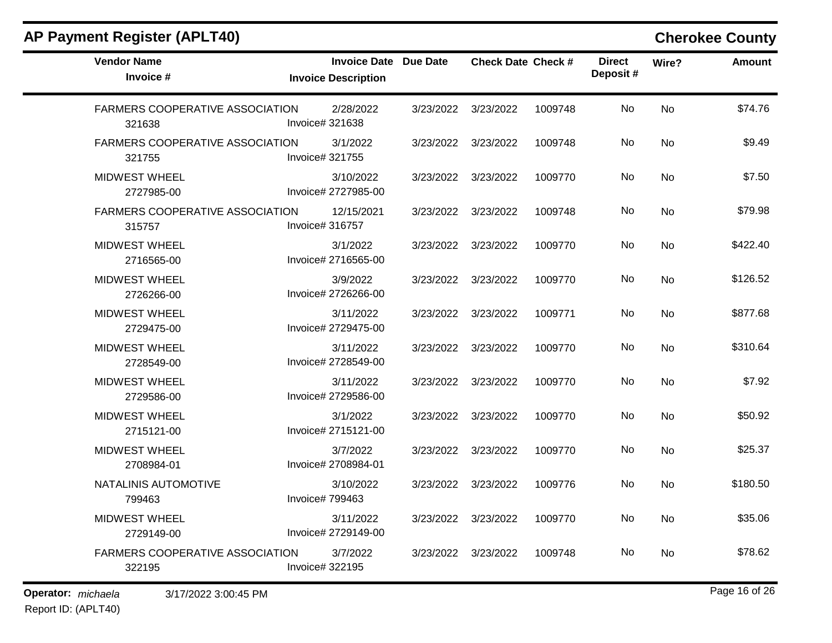$\blacksquare$ 

| <b>Vendor Name</b><br>Invoice #                  | <b>Invoice Date Due Date</b><br><b>Invoice Description</b> |                     | <b>Check Date Check #</b> |         | <b>Direct</b><br>Deposit# | Wire?     | <b>Amount</b> |
|--------------------------------------------------|------------------------------------------------------------|---------------------|---------------------------|---------|---------------------------|-----------|---------------|
| <b>FARMERS COOPERATIVE ASSOCIATION</b><br>321638 | 2/28/2022<br>Invoice# 321638                               | 3/23/2022           | 3/23/2022                 | 1009748 | No.                       | <b>No</b> | \$74.76       |
| FARMERS COOPERATIVE ASSOCIATION<br>321755        | 3/1/2022<br>Invoice# 321755                                | 3/23/2022           | 3/23/2022                 | 1009748 | No                        | <b>No</b> | \$9.49        |
| <b>MIDWEST WHEEL</b><br>2727985-00               | 3/10/2022<br>Invoice# 2727985-00                           | 3/23/2022 3/23/2022 |                           | 1009770 | No.                       | <b>No</b> | \$7.50        |
| <b>FARMERS COOPERATIVE ASSOCIATION</b><br>315757 | 12/15/2021<br>Invoice# 316757                              | 3/23/2022           | 3/23/2022                 | 1009748 | No                        | <b>No</b> | \$79.98       |
| <b>MIDWEST WHEEL</b><br>2716565-00               | 3/1/2022<br>Invoice# 2716565-00                            | 3/23/2022 3/23/2022 |                           | 1009770 | No.                       | No        | \$422.40      |
| <b>MIDWEST WHEEL</b><br>2726266-00               | 3/9/2022<br>Invoice# 2726266-00                            | 3/23/2022           | 3/23/2022                 | 1009770 | No.                       | No        | \$126.52      |
| <b>MIDWEST WHEEL</b><br>2729475-00               | 3/11/2022<br>Invoice# 2729475-00                           | 3/23/2022           | 3/23/2022                 | 1009771 | <b>No</b>                 | <b>No</b> | \$877.68      |
| <b>MIDWEST WHEEL</b><br>2728549-00               | 3/11/2022<br>Invoice# 2728549-00                           | 3/23/2022           | 3/23/2022                 | 1009770 | No                        | <b>No</b> | \$310.64      |
| <b>MIDWEST WHEEL</b><br>2729586-00               | 3/11/2022<br>Invoice# 2729586-00                           | 3/23/2022           | 3/23/2022                 | 1009770 | No                        | <b>No</b> | \$7.92        |
| <b>MIDWEST WHEEL</b><br>2715121-00               | 3/1/2022<br>Invoice# 2715121-00                            | 3/23/2022           | 3/23/2022                 | 1009770 | No.                       | No        | \$50.92       |
| <b>MIDWEST WHEEL</b><br>2708984-01               | 3/7/2022<br>Invoice# 2708984-01                            | 3/23/2022           | 3/23/2022                 | 1009770 | No                        | <b>No</b> | \$25.37       |
| NATALINIS AUTOMOTIVE<br>799463                   | 3/10/2022<br>Invoice# 799463                               | 3/23/2022           | 3/23/2022                 | 1009776 | No.                       | No        | \$180.50      |
| <b>MIDWEST WHEEL</b><br>2729149-00               | 3/11/2022<br>Invoice# 2729149-00                           | 3/23/2022           | 3/23/2022                 | 1009770 | No                        | <b>No</b> | \$35.06       |
| <b>FARMERS COOPERATIVE ASSOCIATION</b><br>322195 | 3/7/2022<br>Invoice# 322195                                | 3/23/2022           | 3/23/2022                 | 1009748 | No                        | <b>No</b> | \$78.62       |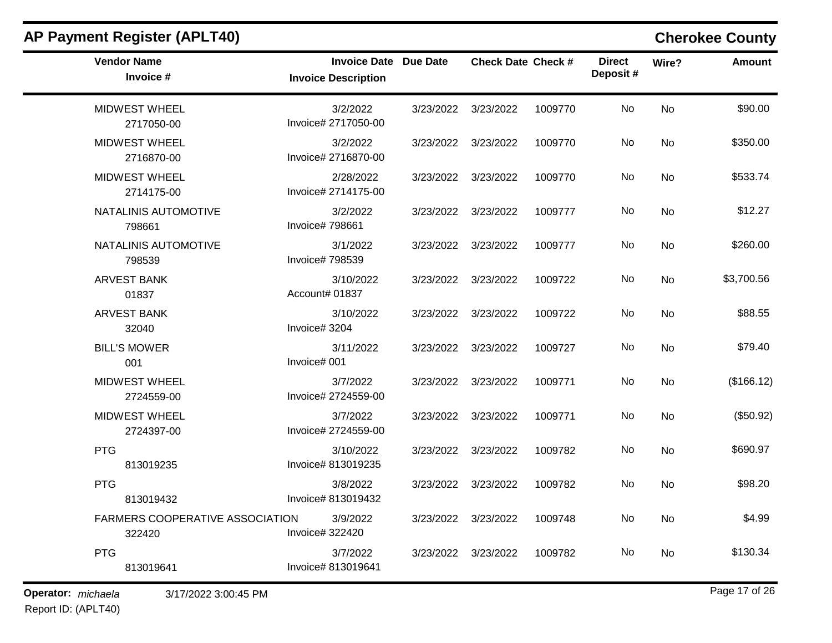| <b>Vendor Name</b><br>Invoice #                  | <b>Invoice Date Due Date</b><br><b>Invoice Description</b> | <b>Check Date Check #</b> |         | <b>Direct</b><br>Deposit# | Wire?     | <b>Amount</b> |
|--------------------------------------------------|------------------------------------------------------------|---------------------------|---------|---------------------------|-----------|---------------|
| <b>MIDWEST WHEEL</b><br>2717050-00               | 3/2/2022<br>Invoice# 2717050-00                            | 3/23/2022 3/23/2022       | 1009770 | No                        | <b>No</b> | \$90.00       |
| <b>MIDWEST WHEEL</b><br>2716870-00               | 3/2/2022<br>Invoice# 2716870-00                            | 3/23/2022 3/23/2022       | 1009770 | No                        | <b>No</b> | \$350.00      |
| <b>MIDWEST WHEEL</b><br>2714175-00               | 2/28/2022<br>Invoice# 2714175-00                           | 3/23/2022 3/23/2022       | 1009770 | No                        | <b>No</b> | \$533.74      |
| NATALINIS AUTOMOTIVE<br>798661                   | 3/2/2022<br>Invoice# 798661                                | 3/23/2022 3/23/2022       | 1009777 | No                        | <b>No</b> | \$12.27       |
| NATALINIS AUTOMOTIVE<br>798539                   | 3/1/2022<br>Invoice# 798539                                | 3/23/2022 3/23/2022       | 1009777 | No                        | No        | \$260.00      |
| <b>ARVEST BANK</b><br>01837                      | 3/10/2022<br>Account# 01837                                | 3/23/2022 3/23/2022       | 1009722 | No                        | No        | \$3,700.56    |
| <b>ARVEST BANK</b><br>32040                      | 3/10/2022<br>Invoice# 3204                                 | 3/23/2022 3/23/2022       | 1009722 | No                        | <b>No</b> | \$88.55       |
| <b>BILL'S MOWER</b><br>001                       | 3/11/2022<br>Invoice# 001                                  | 3/23/2022 3/23/2022       | 1009727 | No                        | No        | \$79.40       |
| <b>MIDWEST WHEEL</b><br>2724559-00               | 3/7/2022<br>Invoice# 2724559-00                            | 3/23/2022 3/23/2022       | 1009771 | No                        | <b>No</b> | (\$166.12)    |
| <b>MIDWEST WHEEL</b><br>2724397-00               | 3/7/2022<br>Invoice# 2724559-00                            | 3/23/2022 3/23/2022       | 1009771 | No.                       | No        | (\$50.92)     |
| <b>PTG</b><br>813019235                          | 3/10/2022<br>Invoice# 813019235                            | 3/23/2022 3/23/2022       | 1009782 | No                        | <b>No</b> | \$690.97      |
| <b>PTG</b><br>813019432                          | 3/8/2022<br>Invoice# 813019432                             | 3/23/2022 3/23/2022       | 1009782 | No                        | <b>No</b> | \$98.20       |
| <b>FARMERS COOPERATIVE ASSOCIATION</b><br>322420 | 3/9/2022<br>Invoice# 322420                                | 3/23/2022 3/23/2022       | 1009748 | No                        | No        | \$4.99        |
| <b>PTG</b><br>813019641                          | 3/7/2022<br>Invoice# 813019641                             | 3/23/2022 3/23/2022       | 1009782 | No                        | <b>No</b> | \$130.34      |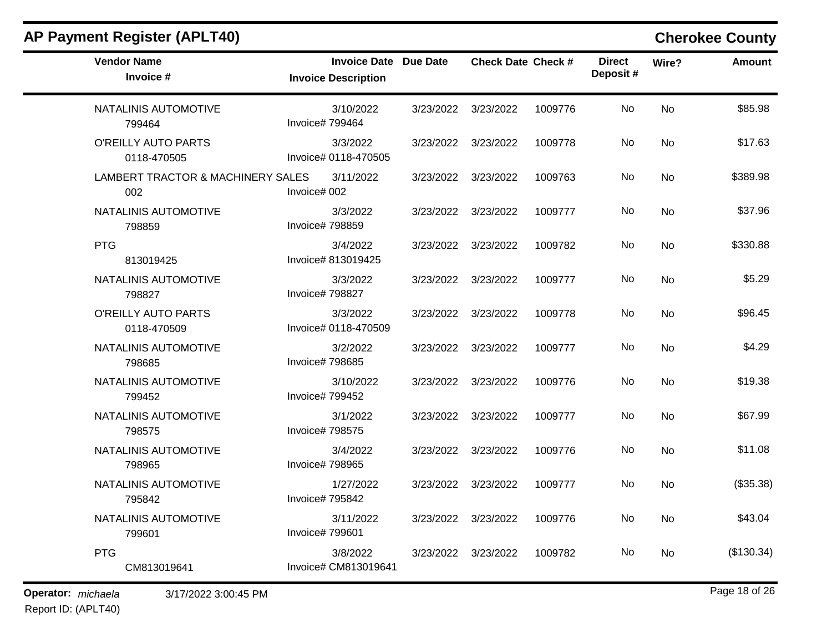| <b>AP Payment Register (APLT40)</b>      |                                                            |           |                           |         |                           |       | <b>Cherokee County</b> |
|------------------------------------------|------------------------------------------------------------|-----------|---------------------------|---------|---------------------------|-------|------------------------|
| <b>Vendor Name</b><br>Invoice #          | <b>Invoice Date Due Date</b><br><b>Invoice Description</b> |           | <b>Check Date Check #</b> |         | <b>Direct</b><br>Deposit# | Wire? | <b>Amount</b>          |
| NATALINIS AUTOMOTIVE<br>799464           | 3/10/2022<br>Invoice# 799464                               | 3/23/2022 | 3/23/2022                 | 1009776 | No                        | No    | \$85.98                |
| O'REILLY AUTO PARTS<br>0118-470505       | 3/3/2022<br>Invoice# 0118-470505                           | 3/23/2022 | 3/23/2022                 | 1009778 | No                        | No    | \$17.63                |
| LAMBERT TRACTOR & MACHINERY SALES<br>002 | 3/11/2022<br>Invoice# 002                                  | 3/23/2022 | 3/23/2022                 | 1009763 | No                        | No    | \$389.98               |
| NATALINIS AUTOMOTIVE<br>798859           | 3/3/2022<br>Invoice# 798859                                | 3/23/2022 | 3/23/2022                 | 1009777 | No                        | No    | \$37.96                |
| <b>PTG</b><br>813019425                  | 3/4/2022<br>Invoice# 813019425                             | 3/23/2022 | 3/23/2022                 | 1009782 | No                        | No    | \$330.88               |
| NATALINIS AUTOMOTIVE<br>798827           | 3/3/2022<br>Invoice# 798827                                | 3/23/2022 | 3/23/2022                 | 1009777 | No                        | No    | \$5.29                 |
| O'REILLY AUTO PARTS<br>0118-470509       | 3/3/2022<br>Invoice# 0118-470509                           | 3/23/2022 | 3/23/2022                 | 1009778 | No                        | No    | \$96.45                |
| NATALINIS AUTOMOTIVE<br>798685           | 3/2/2022<br>Invoice# 798685                                | 3/23/2022 | 3/23/2022                 | 1009777 | No                        | No    | \$4.29                 |
| NATALINIS AUTOMOTIVE<br>799452           | 3/10/2022<br>Invoice# 799452                               | 3/23/2022 | 3/23/2022                 | 1009776 | No                        | No    | \$19.38                |
| NATALINIS AUTOMOTIVE<br>798575           | 3/1/2022<br>Invoice# 798575                                | 3/23/2022 | 3/23/2022                 | 1009777 | No                        | No    | \$67.99                |
| NATALINIS AUTOMOTIVE<br>798965           | 3/4/2022<br>Invoice# 798965                                | 3/23/2022 | 3/23/2022                 | 1009776 | No                        | No    | \$11.08                |
| NATALINIS AUTOMOTIVE<br>795842           | 1/27/2022<br>Invoice# 795842                               | 3/23/2022 | 3/23/2022                 | 1009777 | No                        | No    | (\$35.38)              |
| NATALINIS AUTOMOTIVE<br>799601           | 3/11/2022<br>Invoice# 799601                               |           | 3/23/2022 3/23/2022       | 1009776 | No                        | No    | \$43.04                |
| <b>PTG</b><br>CM813019641                | 3/8/2022<br>Invoice# CM813019641                           |           | 3/23/2022 3/23/2022       | 1009782 | No                        | No    | (\$130.34)             |

**Operator:** *michaela* 3/17/2022 3:00:45 PM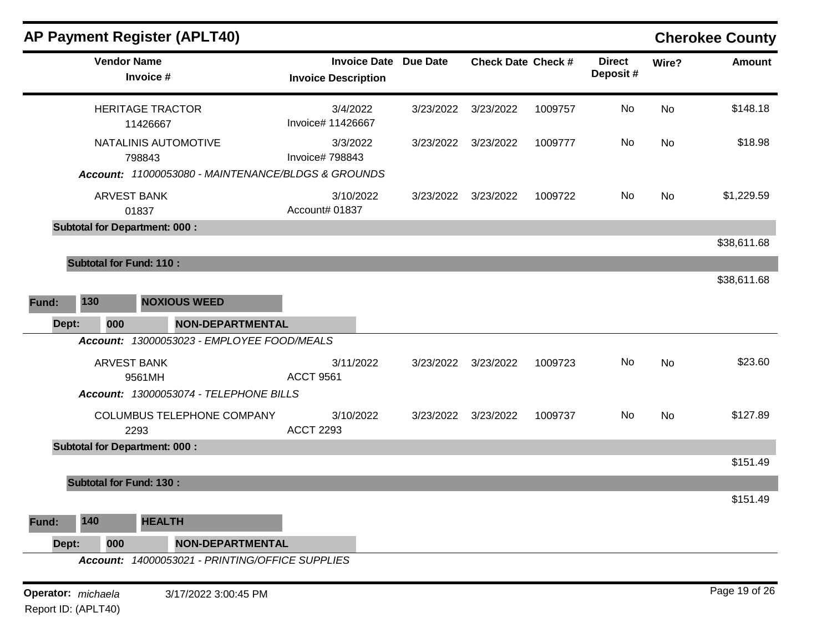| <b>AP Payment Register (APLT40)</b>             |                                                            |           |                           |         |                           |           | <b>Cherokee County</b> |
|-------------------------------------------------|------------------------------------------------------------|-----------|---------------------------|---------|---------------------------|-----------|------------------------|
| <b>Vendor Name</b><br>Invoice #                 | <b>Invoice Date Due Date</b><br><b>Invoice Description</b> |           | <b>Check Date Check #</b> |         | <b>Direct</b><br>Deposit# | Wire?     | <b>Amount</b>          |
| <b>HERITAGE TRACTOR</b><br>11426667             | 3/4/2022<br>Invoice# 11426667                              | 3/23/2022 | 3/23/2022                 | 1009757 | No                        | <b>No</b> | \$148.18               |
| NATALINIS AUTOMOTIVE<br>798843                  | 3/3/2022<br>Invoice# 798843                                |           | 3/23/2022 3/23/2022       | 1009777 | No                        | No        | \$18.98                |
|                                                 | Account: 11000053080 - MAINTENANCE/BLDGS & GROUNDS         |           |                           |         |                           |           |                        |
| <b>ARVEST BANK</b><br>01837                     | 3/10/2022<br>Account# 01837                                | 3/23/2022 | 3/23/2022                 | 1009722 | No                        | No        | \$1,229.59             |
| <b>Subtotal for Department: 000:</b>            |                                                            |           |                           |         |                           |           |                        |
|                                                 |                                                            |           |                           |         |                           |           | \$38,611.68            |
| <b>Subtotal for Fund: 110:</b>                  |                                                            |           |                           |         |                           |           |                        |
|                                                 |                                                            |           |                           |         |                           |           | \$38,611.68            |
| 130<br><b>NOXIOUS WEED</b><br>Fund:             |                                                            |           |                           |         |                           |           |                        |
| Dept:<br>000                                    | <b>NON-DEPARTMENTAL</b>                                    |           |                           |         |                           |           |                        |
| Account: 13000053023 - EMPLOYEE FOOD/MEALS      |                                                            |           |                           |         |                           |           |                        |
| <b>ARVEST BANK</b><br>9561MH                    | 3/11/2022<br><b>ACCT 9561</b>                              |           | 3/23/2022 3/23/2022       | 1009723 | No                        | No        | \$23.60                |
| Account: 13000053074 - TELEPHONE BILLS          |                                                            |           |                           |         |                           |           |                        |
| COLUMBUS TELEPHONE COMPANY<br>2293              | 3/10/2022<br><b>ACCT 2293</b>                              |           | 3/23/2022 3/23/2022       | 1009737 | No                        | No        | \$127.89               |
| <b>Subtotal for Department: 000:</b>            |                                                            |           |                           |         |                           |           |                        |
|                                                 |                                                            |           |                           |         |                           |           | \$151.49               |
| <b>Subtotal for Fund: 130:</b>                  |                                                            |           |                           |         |                           |           |                        |
| <b>HEALTH</b><br>140<br>Fund:                   |                                                            |           |                           |         |                           |           | \$151.49               |
|                                                 |                                                            |           |                           |         |                           |           |                        |
| Dept:<br>000                                    | <b>NON-DEPARTMENTAL</b>                                    |           |                           |         |                           |           |                        |
| Account: 14000053021 - PRINTING/OFFICE SUPPLIES |                                                            |           |                           |         |                           |           |                        |
| Operator: michaela                              | 3/17/2022 3:00:45 PM                                       |           |                           |         |                           |           | Page 19 of 26          |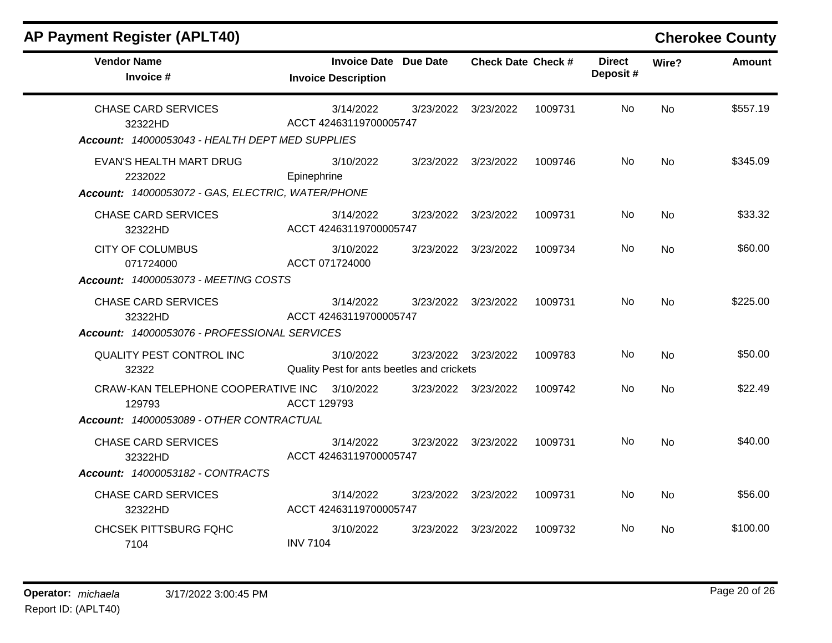| <b>AP Payment Register (APLT40)</b>                                                      |                 |                                                            |                           |         |                           |           | <b>Cherokee County</b> |
|------------------------------------------------------------------------------------------|-----------------|------------------------------------------------------------|---------------------------|---------|---------------------------|-----------|------------------------|
| <b>Vendor Name</b><br>Invoice #                                                          |                 | <b>Invoice Date Due Date</b><br><b>Invoice Description</b> | <b>Check Date Check #</b> |         | <b>Direct</b><br>Deposit# | Wire?     | <b>Amount</b>          |
| <b>CHASE CARD SERVICES</b><br>32322HD<br>Account: 14000053043 - HEALTH DEPT MED SUPPLIES |                 | 3/14/2022<br>ACCT 42463119700005747                        | 3/23/2022 3/23/2022       | 1009731 | No.                       | <b>No</b> | \$557.19               |
| EVAN'S HEALTH MART DRUG<br>2232022<br>Account: 14000053072 - GAS, ELECTRIC, WATER/PHONE  | Epinephrine     | 3/10/2022                                                  | 3/23/2022 3/23/2022       | 1009746 | No.                       | <b>No</b> | \$345.09               |
| <b>CHASE CARD SERVICES</b><br>32322HD                                                    |                 | 3/14/2022<br>ACCT 42463119700005747                        | 3/23/2022 3/23/2022       | 1009731 | No.                       | <b>No</b> | \$33.32                |
| <b>CITY OF COLUMBUS</b><br>071724000                                                     | ACCT 071724000  | 3/10/2022                                                  | 3/23/2022 3/23/2022       | 1009734 | No.                       | <b>No</b> | \$60.00                |
| <b>Account: 14000053073 - MEETING COSTS</b>                                              |                 |                                                            |                           |         |                           |           |                        |
| <b>CHASE CARD SERVICES</b><br>32322HD                                                    |                 | 3/14/2022<br>ACCT 42463119700005747                        | 3/23/2022 3/23/2022       | 1009731 | No.                       | <b>No</b> | \$225.00               |
| Account: 14000053076 - PROFESSIONAL SERVICES                                             |                 |                                                            |                           |         |                           |           |                        |
| QUALITY PEST CONTROL INC<br>32322                                                        |                 | 3/10/2022<br>Quality Pest for ants beetles and crickets    | 3/23/2022 3/23/2022       | 1009783 | No.                       | No        | \$50.00                |
| CRAW-KAN TELEPHONE COOPERATIVE INC 3/10/2022<br>129793                                   | ACCT 129793     |                                                            | 3/23/2022 3/23/2022       | 1009742 | No.                       | <b>No</b> | \$22.49                |
| Account: 14000053089 - OTHER CONTRACTUAL                                                 |                 |                                                            |                           |         |                           |           |                        |
| <b>CHASE CARD SERVICES</b><br>32322HD                                                    |                 | 3/14/2022<br>ACCT 42463119700005747                        | 3/23/2022 3/23/2022       | 1009731 | No.                       | <b>No</b> | \$40.00                |
| Account: 14000053182 - CONTRACTS                                                         |                 |                                                            |                           |         |                           |           |                        |
| <b>CHASE CARD SERVICES</b><br>32322HD                                                    |                 | 3/14/2022<br>ACCT 42463119700005747                        | 3/23/2022 3/23/2022       | 1009731 | No.                       | <b>No</b> | \$56.00                |
| <b>CHCSEK PITTSBURG FQHC</b><br>7104                                                     | <b>INV 7104</b> | 3/10/2022                                                  | 3/23/2022 3/23/2022       | 1009732 | No.                       | No.       | \$100.00               |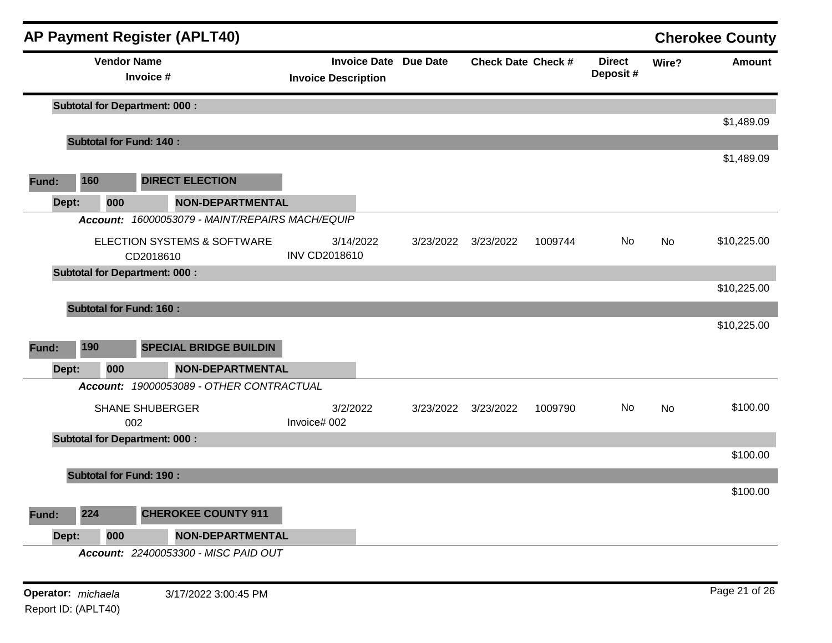|                                         |                                          | <b>AP Payment Register (APLT40)</b>             |                                                            |           |                           |         |                            |           | <b>Cherokee County</b> |
|-----------------------------------------|------------------------------------------|-------------------------------------------------|------------------------------------------------------------|-----------|---------------------------|---------|----------------------------|-----------|------------------------|
|                                         | <b>Vendor Name</b>                       | Invoice #                                       | <b>Invoice Date Due Date</b><br><b>Invoice Description</b> |           | <b>Check Date Check #</b> |         | <b>Direct</b><br>Deposit # | Wire?     | <b>Amount</b>          |
|                                         |                                          | <b>Subtotal for Department: 000:</b>            |                                                            |           |                           |         |                            |           |                        |
|                                         |                                          |                                                 |                                                            |           |                           |         |                            |           | \$1,489.09             |
|                                         |                                          | <b>Subtotal for Fund: 140:</b>                  |                                                            |           |                           |         |                            |           | \$1,489.09             |
| 160<br>Fund:                            |                                          | <b>DIRECT ELECTION</b>                          |                                                            |           |                           |         |                            |           |                        |
| Dept:                                   | <b>NON-DEPARTMENTAL</b><br>000           |                                                 |                                                            |           |                           |         |                            |           |                        |
|                                         |                                          | Account: 16000053079 - MAINT/REPAIRS MACH/EQUIP |                                                            |           |                           |         |                            |           |                        |
|                                         | ELECTION SYSTEMS & SOFTWARE<br>CD2018610 |                                                 | 3/14/2022<br><b>INV CD2018610</b>                          |           | 3/23/2022 3/23/2022       | 1009744 | No                         | No        | \$10,225.00            |
|                                         | <b>Subtotal for Department: 000:</b>     |                                                 |                                                            |           |                           |         |                            |           |                        |
|                                         |                                          |                                                 |                                                            |           |                           |         |                            |           | \$10,225.00            |
|                                         |                                          | <b>Subtotal for Fund: 160:</b>                  |                                                            |           |                           |         |                            |           |                        |
|                                         |                                          |                                                 |                                                            |           |                           |         |                            |           | \$10,225.00            |
| 190<br>Fund:                            |                                          | <b>SPECIAL BRIDGE BUILDIN</b>                   |                                                            |           |                           |         |                            |           |                        |
| Dept:                                   | 000                                      | <b>NON-DEPARTMENTAL</b>                         |                                                            |           |                           |         |                            |           |                        |
|                                         |                                          | Account: 19000053089 - OTHER CONTRACTUAL        |                                                            |           |                           |         |                            |           |                        |
|                                         |                                          | <b>SHANE SHUBERGER</b><br>002                   | 3/2/2022<br>Invoice# 002                                   | 3/23/2022 | 3/23/2022                 | 1009790 | No.                        | <b>No</b> | \$100.00               |
|                                         |                                          | <b>Subtotal for Department: 000:</b>            |                                                            |           |                           |         |                            |           |                        |
|                                         |                                          |                                                 |                                                            |           |                           |         |                            |           | \$100.00               |
|                                         |                                          | <b>Subtotal for Fund: 190:</b>                  |                                                            |           |                           |         |                            |           |                        |
|                                         |                                          |                                                 |                                                            |           |                           |         |                            |           | \$100.00               |
| 224<br>Fund:                            |                                          | <b>CHEROKEE COUNTY 911</b>                      |                                                            |           |                           |         |                            |           |                        |
| Dept:<br>000<br><b>NON-DEPARTMENTAL</b> |                                          |                                                 |                                                            |           |                           |         |                            |           |                        |
|                                         |                                          | Account: 22400053300 - MISC PAID OUT            |                                                            |           |                           |         |                            |           |                        |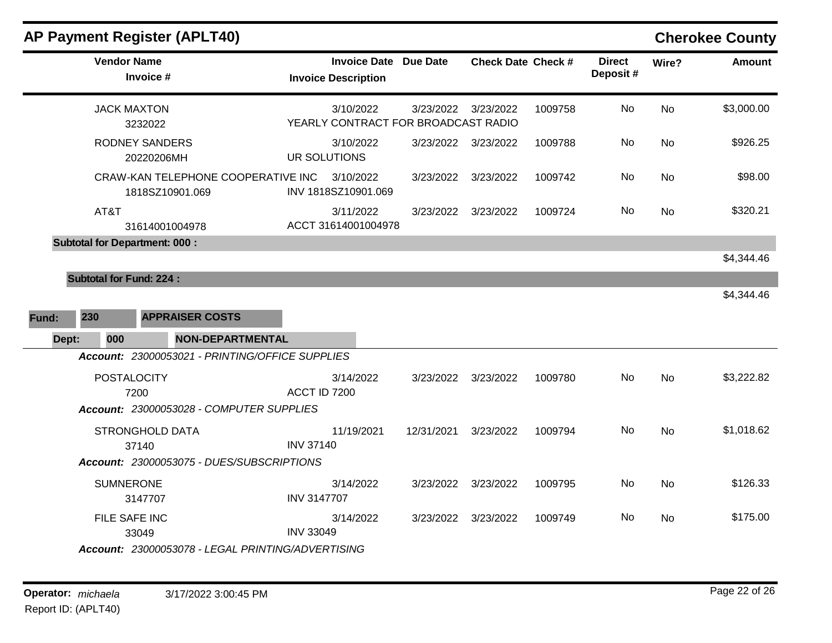| <b>AP Payment Register (APLT40)</b>                                                 |                                                  |                              |                     |                           |                           |           | <b>Cherokee County</b> |
|-------------------------------------------------------------------------------------|--------------------------------------------------|------------------------------|---------------------|---------------------------|---------------------------|-----------|------------------------|
| <b>Vendor Name</b><br>Invoice #                                                     | <b>Invoice Description</b>                       | <b>Invoice Date Due Date</b> |                     | <b>Check Date Check #</b> | <b>Direct</b><br>Deposit# | Wire?     | <b>Amount</b>          |
| <b>JACK MAXTON</b><br>3232022                                                       | 3/10/2022<br>YEARLY CONTRACT FOR BROADCAST RADIO | 3/23/2022                    | 3/23/2022           | 1009758                   | No                        | <b>No</b> | \$3,000.00             |
| <b>RODNEY SANDERS</b><br>20220206MH                                                 | 3/10/2022<br>UR SOLUTIONS                        |                              | 3/23/2022 3/23/2022 | 1009788                   | No                        | No        | \$926.25               |
| CRAW-KAN TELEPHONE COOPERATIVE INC<br>1818SZ10901.069                               | 3/10/2022<br>INV 1818SZ10901.069                 | 3/23/2022                    | 3/23/2022           | 1009742                   | No                        | <b>No</b> | \$98.00                |
| AT&T<br>31614001004978                                                              | 3/11/2022<br>ACCT 31614001004978                 | 3/23/2022                    | 3/23/2022           | 1009724                   | No                        | No        | \$320.21               |
| <b>Subtotal for Department: 000:</b>                                                |                                                  |                              |                     |                           |                           |           | \$4,344.46             |
| <b>Subtotal for Fund: 224:</b>                                                      |                                                  |                              |                     |                           |                           |           |                        |
| 230                                                                                 |                                                  |                              |                     |                           |                           |           | \$4,344.46             |
| Fund:<br><b>APPRAISER COSTS</b>                                                     |                                                  |                              |                     |                           |                           |           |                        |
| Dept:<br>000<br>NON-DEPARTMENTAL<br>Account: 23000053021 - PRINTING/OFFICE SUPPLIES |                                                  |                              |                     |                           |                           |           |                        |
| <b>POSTALOCITY</b><br>7200<br>Account: 23000053028 - COMPUTER SUPPLIES              | 3/14/2022<br>ACCT ID 7200                        | 3/23/2022                    | 3/23/2022           | 1009780                   | No                        | No        | \$3,222.82             |
| <b>STRONGHOLD DATA</b><br>37140                                                     | 11/19/2021<br><b>INV 37140</b>                   | 12/31/2021                   | 3/23/2022           | 1009794                   | No                        | No        | \$1,018.62             |
| Account: 23000053075 - DUES/SUBSCRIPTIONS                                           |                                                  |                              |                     |                           |                           |           |                        |
| <b>SUMNERONE</b><br>3147707                                                         | 3/14/2022<br><b>INV 3147707</b>                  | 3/23/2022                    | 3/23/2022           | 1009795                   | No                        | No        | \$126.33               |
| FILE SAFE INC<br>33049                                                              | 3/14/2022<br><b>INV 33049</b>                    | 3/23/2022                    | 3/23/2022           | 1009749                   | No                        | <b>No</b> | \$175.00               |
| Account: 23000053078 - LEGAL PRINTING/ADVERTISING                                   |                                                  |                              |                     |                           |                           |           |                        |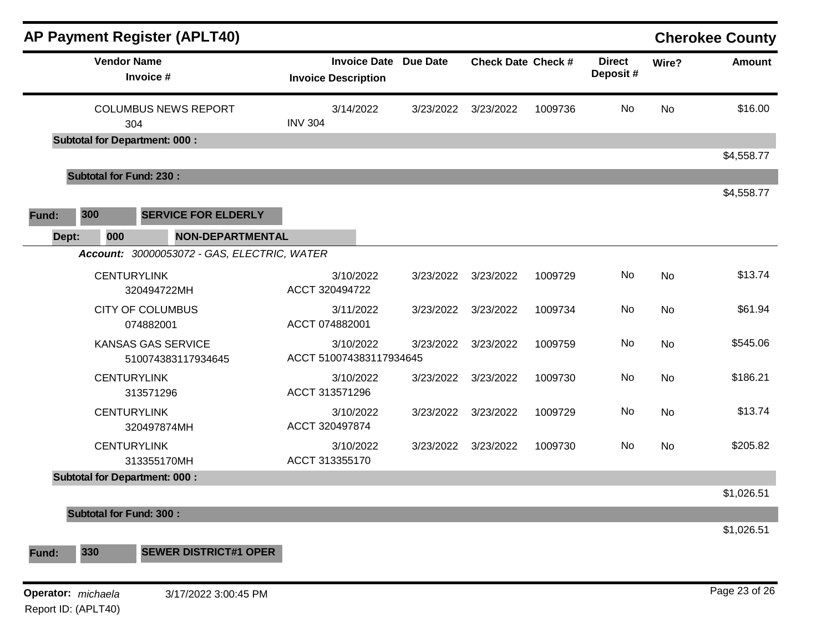|                    |                                      | <b>AP Payment Register (APLT40)</b>                             |                |                                                            |           |                           |         |                           |       | <b>Cherokee County</b> |
|--------------------|--------------------------------------|-----------------------------------------------------------------|----------------|------------------------------------------------------------|-----------|---------------------------|---------|---------------------------|-------|------------------------|
|                    | <b>Vendor Name</b>                   | Invoice #                                                       |                | <b>Invoice Date Due Date</b><br><b>Invoice Description</b> |           | <b>Check Date Check #</b> |         | <b>Direct</b><br>Deposit# | Wire? | <b>Amount</b>          |
|                    | 304                                  | <b>COLUMBUS NEWS REPORT</b>                                     | <b>INV 304</b> | 3/14/2022                                                  | 3/23/2022 | 3/23/2022                 | 1009736 | No                        | No    | \$16.00                |
|                    | <b>Subtotal for Department: 000:</b> |                                                                 |                |                                                            |           |                           |         |                           |       | \$4,558.77             |
|                    | <b>Subtotal for Fund: 230:</b>       |                                                                 |                |                                                            |           |                           |         |                           |       |                        |
| Fund:              | 300                                  | <b>SERVICE FOR ELDERLY</b>                                      |                |                                                            |           |                           |         |                           |       | \$4,558.77             |
| Dept:              | 000                                  | NON-DEPARTMENTAL<br>Account: 30000053072 - GAS, ELECTRIC, WATER |                |                                                            |           |                           |         |                           |       |                        |
|                    | <b>CENTURYLINK</b>                   | 320494722MH                                                     |                | 3/10/2022<br>ACCT 320494722                                | 3/23/2022 | 3/23/2022                 | 1009729 | No                        | No    | \$13.74                |
|                    |                                      | <b>CITY OF COLUMBUS</b><br>074882001                            |                | 3/11/2022<br>ACCT 074882001                                | 3/23/2022 | 3/23/2022                 | 1009734 | No                        | No    | \$61.94                |
|                    |                                      | <b>KANSAS GAS SERVICE</b><br>510074383117934645                 |                | 3/10/2022<br>ACCT 510074383117934645                       | 3/23/2022 | 3/23/2022                 | 1009759 | No                        | No    | \$545.06               |
|                    | <b>CENTURYLINK</b>                   | 313571296                                                       |                | 3/10/2022<br>ACCT 313571296                                | 3/23/2022 | 3/23/2022                 | 1009730 | No                        | No    | \$186.21               |
|                    | <b>CENTURYLINK</b>                   | 320497874MH                                                     |                | 3/10/2022<br>ACCT 320497874                                | 3/23/2022 | 3/23/2022                 | 1009729 | No                        | No    | \$13.74                |
|                    | <b>CENTURYLINK</b>                   | 313355170MH                                                     |                | 3/10/2022<br>ACCT 313355170                                | 3/23/2022 | 3/23/2022                 | 1009730 | No                        | No    | \$205.82               |
|                    | <b>Subtotal for Department: 000:</b> |                                                                 |                |                                                            |           |                           |         |                           |       | \$1,026.51             |
|                    | <b>Subtotal for Fund: 300:</b>       |                                                                 |                |                                                            |           |                           |         |                           |       | \$1,026.51             |
| Fund:              | 330                                  | <b>SEWER DISTRICT#1 OPER</b>                                    |                |                                                            |           |                           |         |                           |       |                        |
| Operator: michaela |                                      | 3/17/2022 3:00:45 PM                                            |                |                                                            |           |                           |         |                           |       | Page 23 of 26          |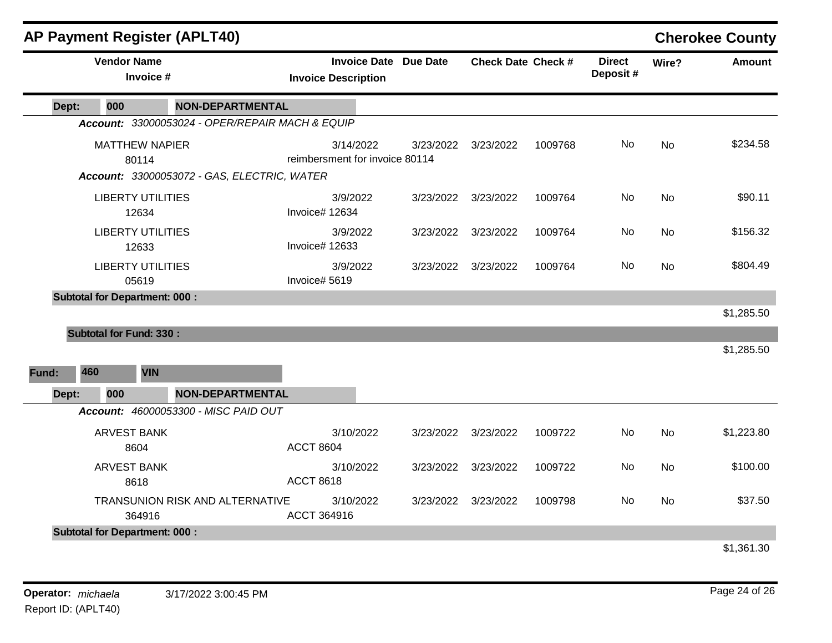|       | <b>AP Payment Register (APLT40)</b>  |                                                 |                                                                                         |           |                     |                           |     |               | <b>Cherokee County</b> |
|-------|--------------------------------------|-------------------------------------------------|-----------------------------------------------------------------------------------------|-----------|---------------------|---------------------------|-----|---------------|------------------------|
|       | <b>Vendor Name</b><br>Invoice #      |                                                 | <b>Invoice Date Due Date</b><br><b>Check Date Check #</b><br><b>Invoice Description</b> |           |                     | <b>Direct</b><br>Deposit# |     | <b>Amount</b> |                        |
| Dept: | 000                                  | <b>NON-DEPARTMENTAL</b>                         |                                                                                         |           |                     |                           |     |               |                        |
|       |                                      | Account: 33000053024 - OPER/REPAIR MACH & EQUIP |                                                                                         |           |                     |                           |     |               |                        |
|       | <b>MATTHEW NAPIER</b>                |                                                 | 3/14/2022                                                                               |           | 3/23/2022 3/23/2022 | 1009768                   | No. | <b>No</b>     | \$234.58               |
|       | 80114                                |                                                 | reimbersment for invoice 80114                                                          |           |                     |                           |     |               |                        |
|       |                                      | Account: 33000053072 - GAS, ELECTRIC, WATER     |                                                                                         |           |                     |                           |     |               |                        |
|       | <b>LIBERTY UTILITIES</b>             |                                                 | 3/9/2022                                                                                |           | 3/23/2022 3/23/2022 | 1009764                   | No. | No            | \$90.11                |
|       | 12634                                |                                                 | Invoice# 12634                                                                          |           |                     |                           |     |               |                        |
|       | <b>LIBERTY UTILITIES</b>             |                                                 | 3/9/2022                                                                                |           | 3/23/2022 3/23/2022 | 1009764                   | No  | <b>No</b>     | \$156.32               |
|       | 12633                                |                                                 | Invoice# 12633                                                                          |           |                     |                           |     |               |                        |
|       | <b>LIBERTY UTILITIES</b>             |                                                 | 3/9/2022                                                                                |           | 3/23/2022 3/23/2022 | 1009764                   | No. | No            | \$804.49               |
|       | 05619                                |                                                 | Invoice# 5619                                                                           |           |                     |                           |     |               |                        |
|       | <b>Subtotal for Department: 000:</b> |                                                 |                                                                                         |           |                     |                           |     |               |                        |
|       |                                      |                                                 |                                                                                         |           |                     |                           |     |               | \$1,285.50             |
|       | <b>Subtotal for Fund: 330:</b>       |                                                 |                                                                                         |           |                     |                           |     |               |                        |
|       |                                      |                                                 |                                                                                         |           |                     |                           |     |               | \$1,285.50             |
| Fund: | 460<br><b>VIN</b>                    |                                                 |                                                                                         |           |                     |                           |     |               |                        |
| Dept: | 000                                  | <b>NON-DEPARTMENTAL</b>                         |                                                                                         |           |                     |                           |     |               |                        |
|       |                                      | Account: 46000053300 - MISC PAID OUT            |                                                                                         |           |                     |                           |     |               |                        |
|       | <b>ARVEST BANK</b>                   |                                                 | 3/10/2022                                                                               |           | 3/23/2022 3/23/2022 | 1009722                   | No. | <b>No</b>     | \$1,223.80             |
|       | 8604                                 |                                                 | <b>ACCT 8604</b>                                                                        |           |                     |                           |     |               |                        |
|       | <b>ARVEST BANK</b>                   |                                                 | 3/10/2022                                                                               | 3/23/2022 | 3/23/2022           | 1009722                   | No. | No            | \$100.00               |
|       | 8618                                 |                                                 | <b>ACCT 8618</b>                                                                        |           |                     |                           |     |               |                        |
|       |                                      | TRANSUNION RISK AND ALTERNATIVE                 | 3/10/2022                                                                               |           | 3/23/2022 3/23/2022 | 1009798                   | No  | <b>No</b>     | \$37.50                |
|       | 364916                               |                                                 | ACCT 364916                                                                             |           |                     |                           |     |               |                        |
|       | <b>Subtotal for Department: 000:</b> |                                                 |                                                                                         |           |                     |                           |     |               |                        |
|       |                                      |                                                 |                                                                                         |           |                     |                           |     |               | \$1,361.30             |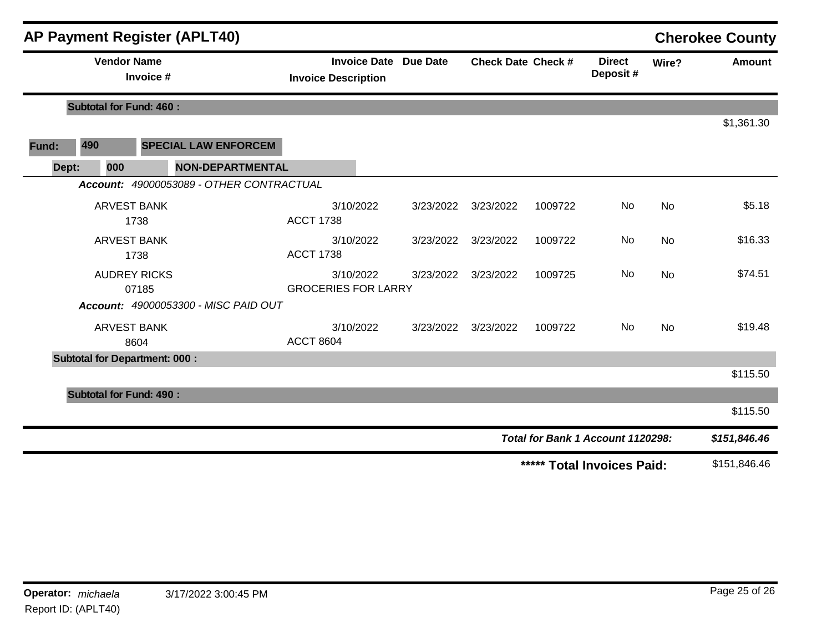|       |                                 |                    | <b>AP Payment Register (APLT40)</b>  |                                                            |                                         |  |                           |           |                           |                                   |               | <b>Cherokee County</b> |
|-------|---------------------------------|--------------------|--------------------------------------|------------------------------------------------------------|-----------------------------------------|--|---------------------------|-----------|---------------------------|-----------------------------------|---------------|------------------------|
|       | <b>Vendor Name</b><br>Invoice # |                    |                                      | <b>Invoice Date Due Date</b><br><b>Invoice Description</b> |                                         |  | <b>Check Date Check #</b> |           | <b>Direct</b><br>Deposit# | Wire?                             | <b>Amount</b> |                        |
|       |                                 |                    | <b>Subtotal for Fund: 460:</b>       |                                                            |                                         |  |                           |           |                           |                                   |               |                        |
|       |                                 |                    |                                      |                                                            |                                         |  |                           |           |                           |                                   |               | \$1,361.30             |
| Fund: | 490                             |                    |                                      | <b>SPECIAL LAW ENFORCEM</b>                                |                                         |  |                           |           |                           |                                   |               |                        |
|       | Dept:                           | 000                |                                      | <b>NON-DEPARTMENTAL</b>                                    |                                         |  |                           |           |                           |                                   |               |                        |
|       |                                 |                    |                                      | Account: 49000053089 - OTHER CONTRACTUAL                   |                                         |  |                           |           |                           |                                   |               |                        |
|       |                                 | <b>ARVEST BANK</b> | 1738                                 |                                                            | 3/10/2022<br><b>ACCT 1738</b>           |  | 3/23/2022                 | 3/23/2022 | 1009722                   | No                                | No            | \$5.18                 |
|       |                                 | <b>ARVEST BANK</b> | 1738                                 |                                                            | 3/10/2022<br><b>ACCT 1738</b>           |  | 3/23/2022                 | 3/23/2022 | 1009722                   | No                                | No            | \$16.33                |
|       |                                 |                    | <b>AUDREY RICKS</b><br>07185         |                                                            | 3/10/2022<br><b>GROCERIES FOR LARRY</b> |  | 3/23/2022                 | 3/23/2022 | 1009725                   | No                                | No            | \$74.51                |
|       |                                 |                    |                                      | Account: 49000053300 - MISC PAID OUT                       |                                         |  |                           |           |                           |                                   |               |                        |
|       |                                 | <b>ARVEST BANK</b> | 8604                                 |                                                            | 3/10/2022<br><b>ACCT 8604</b>           |  | 3/23/2022                 | 3/23/2022 | 1009722                   | No                                | No            | \$19.48                |
|       |                                 |                    | <b>Subtotal for Department: 000:</b> |                                                            |                                         |  |                           |           |                           |                                   |               |                        |
|       |                                 |                    |                                      |                                                            |                                         |  |                           |           |                           |                                   |               | \$115.50               |
|       |                                 |                    | <b>Subtotal for Fund: 490:</b>       |                                                            |                                         |  |                           |           |                           |                                   |               |                        |
|       |                                 |                    |                                      |                                                            |                                         |  |                           |           |                           |                                   |               | \$115.50               |
|       |                                 |                    |                                      |                                                            |                                         |  |                           |           |                           | Total for Bank 1 Account 1120298: |               | \$151,846.46           |
|       |                                 |                    |                                      |                                                            |                                         |  |                           |           |                           | ***** Total Invoices Paid:        |               | \$151,846.46           |